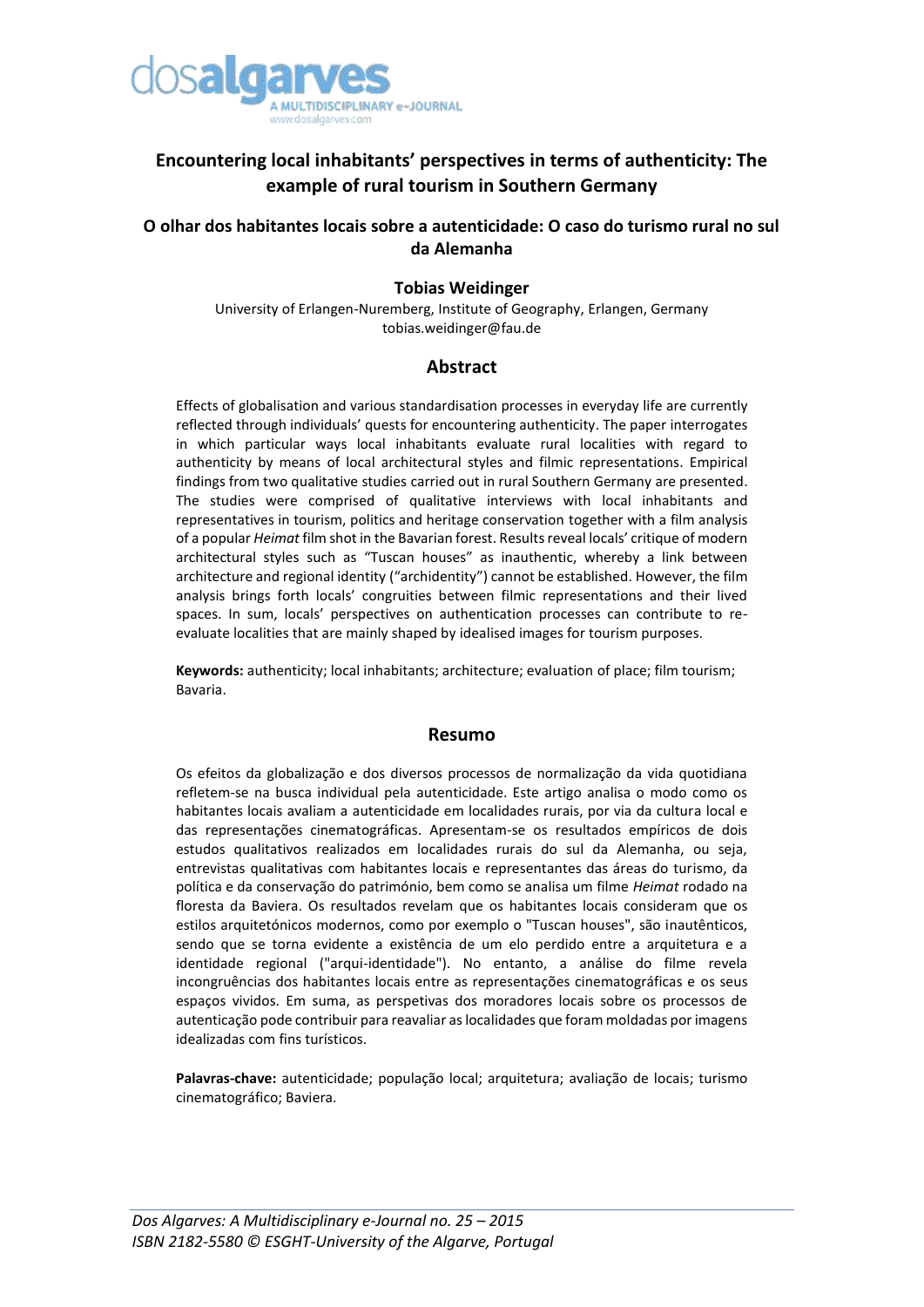

# **Encountering local inhabitants' perspectives in terms of authenticity: The example of rural tourism in Southern Germany**

## **O olhar dos habitantes locais sobre a autenticidade: O caso do turismo rural no sul da Alemanha**

## **Tobias Weidinger**

University of Erlangen-Nuremberg, Institute of Geography, Erlangen, Germany tobias.weidinger@fau.de

## **Abstract**

Effects of globalisation and various standardisation processes in everyday life are currently reflected through individuals' quests for encountering authenticity. The paper interrogates in which particular ways local inhabitants evaluate rural localities with regard to authenticity by means of local architectural styles and filmic representations. Empirical findings from two qualitative studies carried out in rural Southern Germany are presented. The studies were comprised of qualitative interviews with local inhabitants and representatives in tourism, politics and heritage conservation together with a film analysis of a popular *Heimat* film shot in the Bavarian forest. Results reveal locals' critique of modern architectural styles such as "Tuscan houses" as inauthentic, whereby a link between architecture and regional identity ("archidentity") cannot be established. However, the film analysis brings forth locals' congruities between filmic representations and their lived spaces. In sum, locals' perspectives on authentication processes can contribute to reevaluate localities that are mainly shaped by idealised images for tourism purposes.

**Keywords:** authenticity; local inhabitants; architecture; evaluation of place; film tourism; Bavaria.

#### **Resumo**

Os efeitos da globalização e dos diversos processos de normalização da vida quotidiana refletem-se na busca individual pela autenticidade. Este artigo analisa o modo como os habitantes locais avaliam a autenticidade em localidades rurais, por via da cultura local e das representações cinematográficas. Apresentam-se os resultados empíricos de dois estudos qualitativos realizados em localidades rurais do sul da Alemanha, ou seja, entrevistas qualitativas com habitantes locais e representantes das áreas do turismo, da política e da conservação do património, bem como se analisa um filme *Heimat* rodado na floresta da Baviera. Os resultados revelam que os habitantes locais consideram que os estilos arquitetónicos modernos, como por exemplo o "Tuscan houses", são inautênticos, sendo que se torna evidente a existência de um elo perdido entre a arquitetura e a identidade regional ("arqui-identidade"). No entanto, a análise do filme revela incongruências dos habitantes locais entre as representações cinematográficas e os seus espaços vividos. Em suma, as perspetivas dos moradores locais sobre os processos de autenticação pode contribuir para reavaliar as localidades que foram moldadas por imagens idealizadas com fins turísticos.

**Palavras-chave:** autenticidade; população local; arquitetura; avaliação de locais; turismo cinematográfico; Baviera.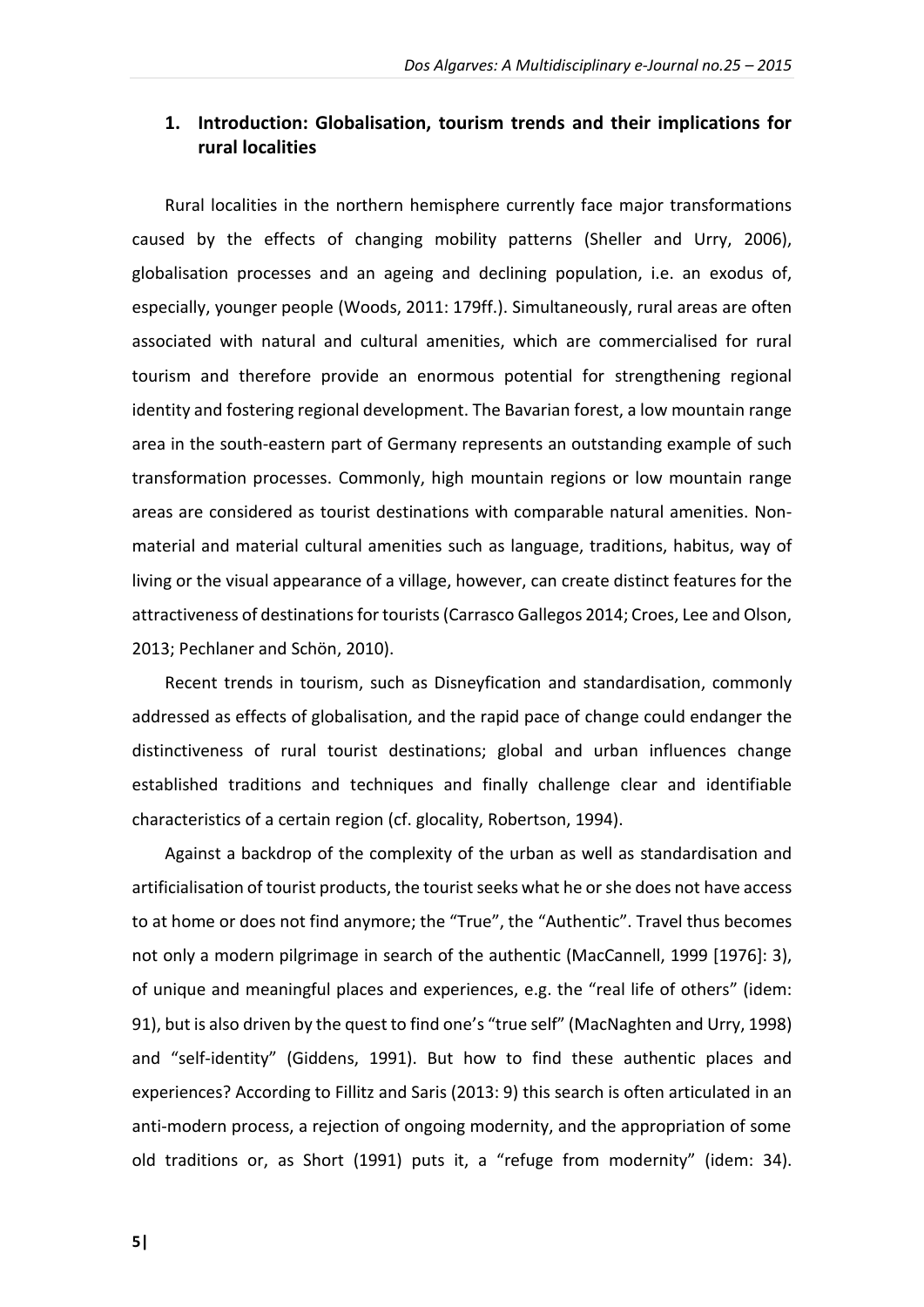## **1. Introduction: Globalisation, tourism trends and their implications for rural localities**

Rural localities in the northern hemisphere currently face major transformations caused by the effects of changing mobility patterns (Sheller and Urry, 2006), globalisation processes and an ageing and declining population, i.e. an exodus of, especially, younger people (Woods, 2011: 179ff.). Simultaneously, rural areas are often associated with natural and cultural amenities, which are commercialised for rural tourism and therefore provide an enormous potential for strengthening regional identity and fostering regional development. The Bavarian forest, a low mountain range area in the south-eastern part of Germany represents an outstanding example of such transformation processes. Commonly, high mountain regions or low mountain range areas are considered as tourist destinations with comparable natural amenities. Nonmaterial and material cultural amenities such as language, traditions, habitus, way of living or the visual appearance of a village, however, can create distinct features for the attractiveness of destinations for tourists(Carrasco Gallegos 2014; Croes, Lee and Olson, 2013; Pechlaner and Schön, 2010).

Recent trends in tourism, such as Disneyfication and standardisation, commonly addressed as effects of globalisation, and the rapid pace of change could endanger the distinctiveness of rural tourist destinations; global and urban influences change established traditions and techniques and finally challenge clear and identifiable characteristics of a certain region (cf. glocality, Robertson, 1994).

Against a backdrop of the complexity of the urban as well as standardisation and artificialisation of tourist products, the tourist seeks what he or she does not have access to at home or does not find anymore; the "True", the "Authentic". Travel thus becomes not only a modern pilgrimage in search of the authentic (MacCannell, 1999 [1976]: 3), of unique and meaningful places and experiences, e.g. the "real life of others" (idem: 91), but is also driven by the quest to find one's "true self" (MacNaghten and Urry, 1998) and "self-identity" (Giddens, 1991). But how to find these authentic places and experiences? According to Fillitz and Saris (2013: 9) this search is often articulated in an anti-modern process, a rejection of ongoing modernity, and the appropriation of some old traditions or, as Short (1991) puts it, a "refuge from modernity" (idem: 34).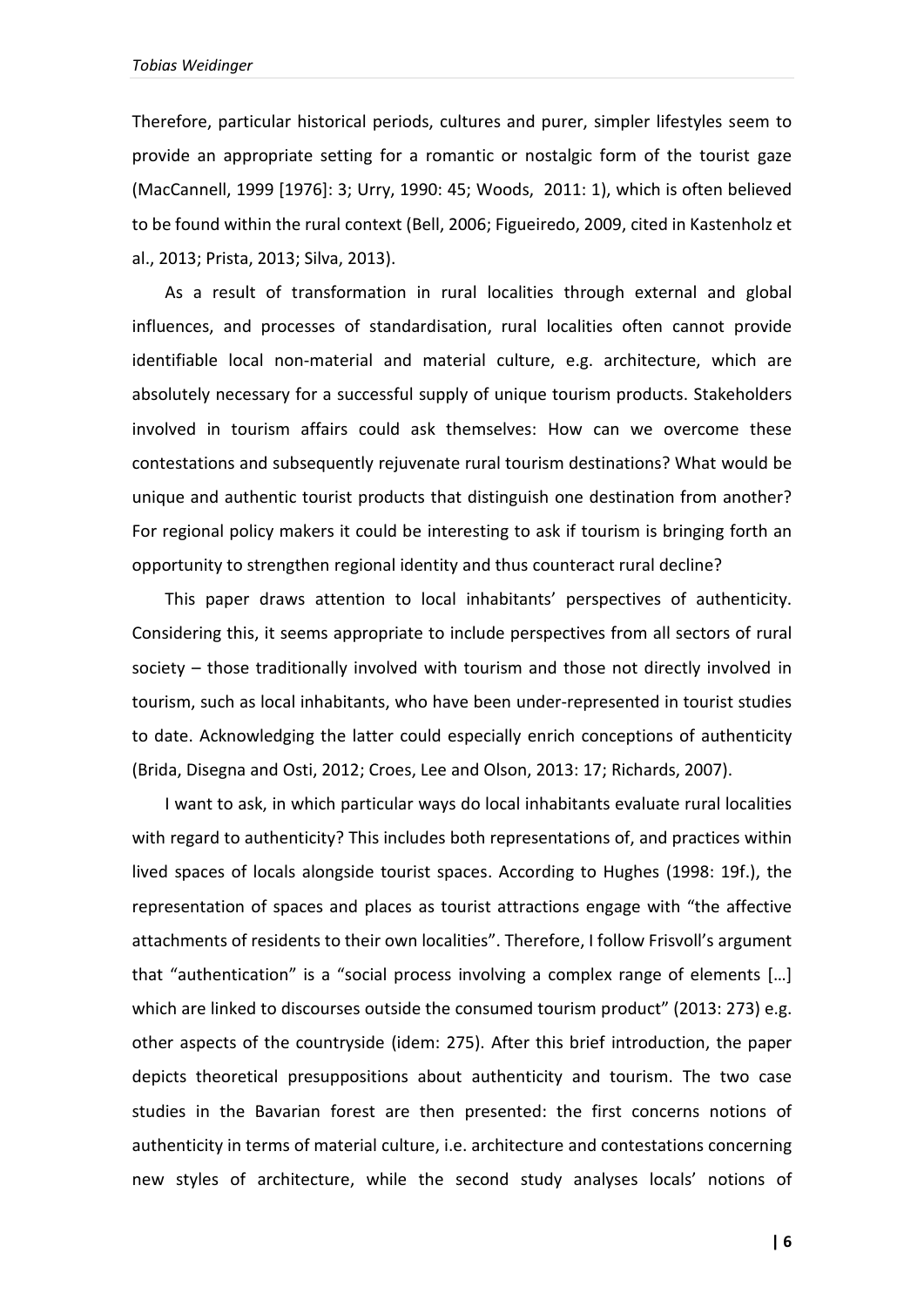Therefore, particular historical periods, cultures and purer, simpler lifestyles seem to provide an appropriate setting for a romantic or nostalgic form of the tourist gaze (MacCannell, 1999 [1976]: 3; Urry, 1990: 45; Woods, 2011: 1), which is often believed to be found within the rural context (Bell, 2006; Figueiredo, 2009, cited in Kastenholz et al., 2013; Prista, 2013; Silva, 2013).

As a result of transformation in rural localities through external and global influences, and processes of standardisation, rural localities often cannot provide identifiable local non-material and material culture, e.g. architecture, which are absolutely necessary for a successful supply of unique tourism products. Stakeholders involved in tourism affairs could ask themselves: How can we overcome these contestations and subsequently rejuvenate rural tourism destinations? What would be unique and authentic tourist products that distinguish one destination from another? For regional policy makers it could be interesting to ask if tourism is bringing forth an opportunity to strengthen regional identity and thus counteract rural decline?

This paper draws attention to local inhabitants' perspectives of authenticity. Considering this, it seems appropriate to include perspectives from all sectors of rural society – those traditionally involved with tourism and those not directly involved in tourism, such as local inhabitants, who have been under-represented in tourist studies to date. Acknowledging the latter could especially enrich conceptions of authenticity (Brida, Disegna and Osti, 2012; Croes, Lee and Olson, 2013: 17; Richards, 2007).

I want to ask, in which particular ways do local inhabitants evaluate rural localities with regard to authenticity? This includes both representations of, and practices within lived spaces of locals alongside tourist spaces. According to Hughes (1998: 19f.), the representation of spaces and places as tourist attractions engage with "the affective attachments of residents to their own localities". Therefore, I follow Frisvoll's argument that "authentication" is a "social process involving a complex range of elements […] which are linked to discourses outside the consumed tourism product" (2013: 273) e.g. other aspects of the countryside (idem: 275). After this brief introduction, the paper depicts theoretical presuppositions about authenticity and tourism. The two case studies in the Bavarian forest are then presented: the first concerns notions of authenticity in terms of material culture, i.e. architecture and contestations concerning new styles of architecture, while the second study analyses locals' notions of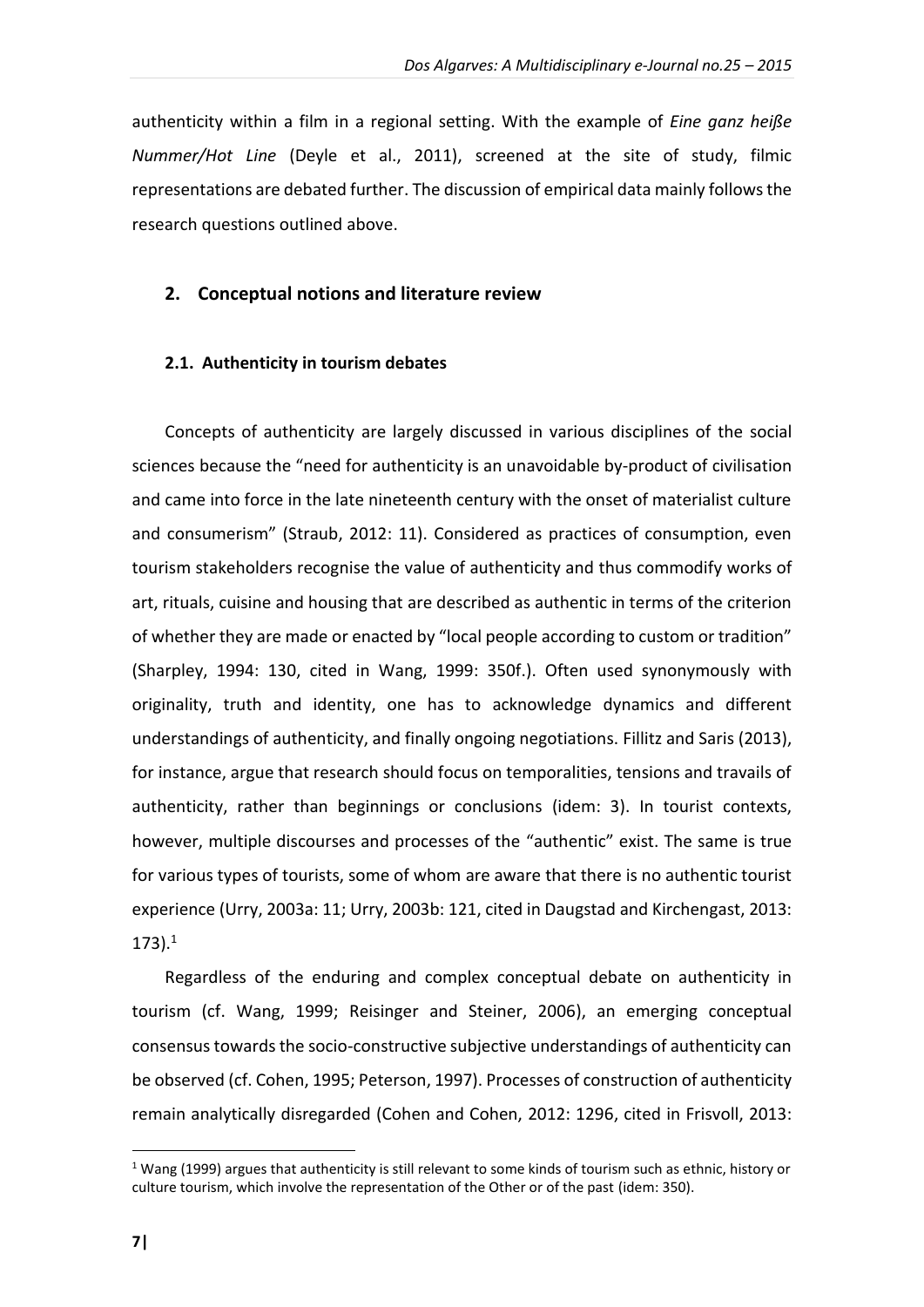authenticity within a film in a regional setting. With the example of *Eine ganz heiße Nummer/Hot Line* (Deyle et al., 2011), screened at the site of study, filmic representations are debated further. The discussion of empirical data mainly follows the research questions outlined above.

#### **2. Conceptual notions and literature review**

#### **2.1. Authenticity in tourism debates**

Concepts of authenticity are largely discussed in various disciplines of the social sciences because the "need for authenticity is an unavoidable by-product of civilisation and came into force in the late nineteenth century with the onset of materialist culture and consumerism" (Straub, 2012: 11). Considered as practices of consumption, even tourism stakeholders recognise the value of authenticity and thus commodify works of art, rituals, cuisine and housing that are described as authentic in terms of the criterion of whether they are made or enacted by "local people according to custom or tradition" (Sharpley, 1994: 130, cited in Wang, 1999: 350f.). Often used synonymously with originality, truth and identity, one has to acknowledge dynamics and different understandings of authenticity, and finally ongoing negotiations. Fillitz and Saris (2013), for instance, argue that research should focus on temporalities, tensions and travails of authenticity, rather than beginnings or conclusions (idem: 3). In tourist contexts, however, multiple discourses and processes of the "authentic" exist. The same is true for various types of tourists, some of whom are aware that there is no authentic tourist experience (Urry, 2003a: 11; Urry, 2003b: 121, cited in Daugstad and Kirchengast, 2013: 173). 1

Regardless of the enduring and complex conceptual debate on authenticity in tourism (cf. Wang, 1999; Reisinger and Steiner, 2006), an emerging conceptual consensus towards the socio-constructive subjective understandings of authenticity can be observed (cf. Cohen, 1995; Peterson, 1997). Processes of construction of authenticity remain analytically disregarded (Cohen and Cohen, 2012: 1296, cited in Frisvoll, 2013:

1

<sup>&</sup>lt;sup>1</sup> Wang (1999) argues that authenticity is still relevant to some kinds of tourism such as ethnic, history or culture tourism, which involve the representation of the Other or of the past (idem: 350).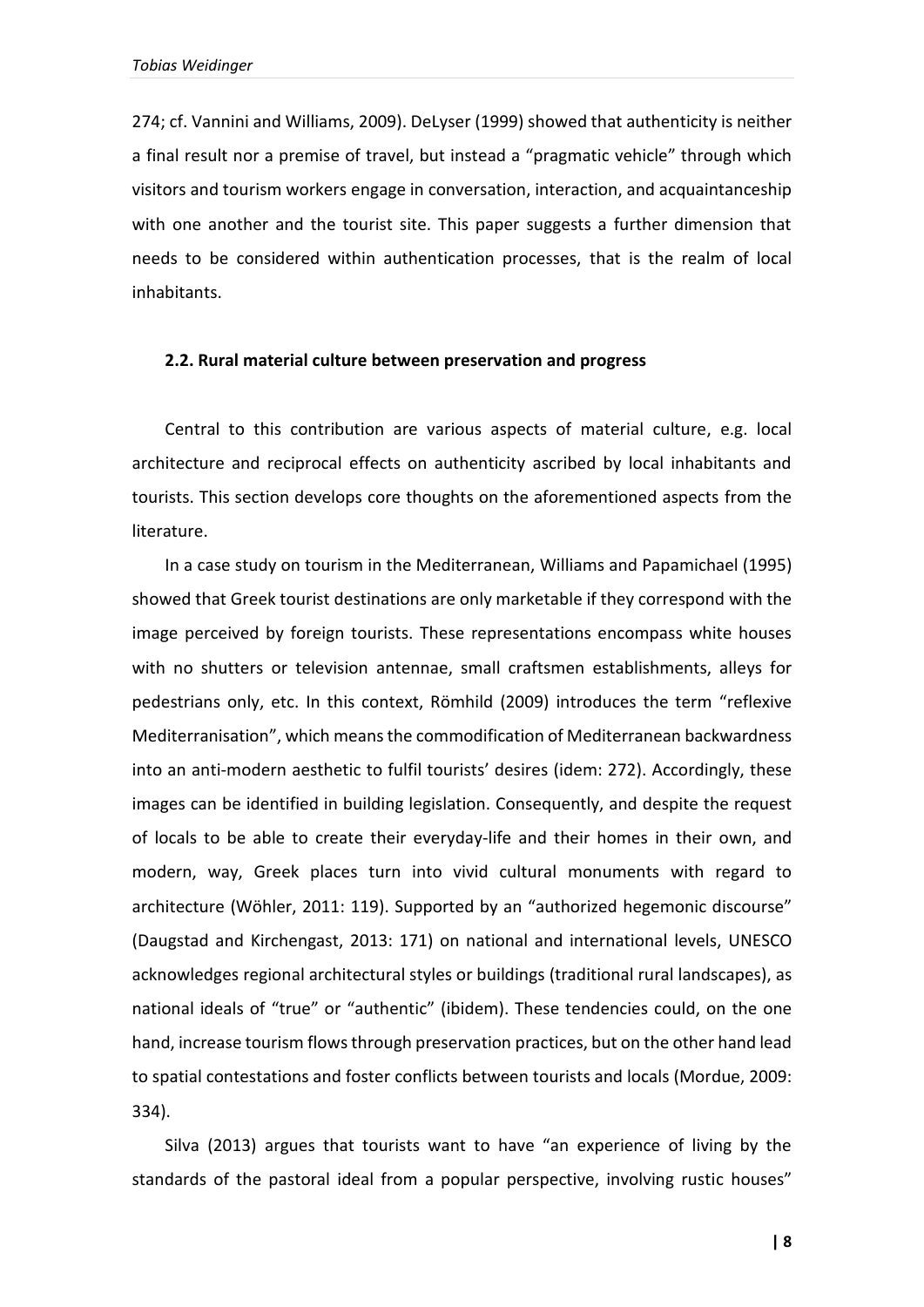274; cf. Vannini and Williams, 2009). DeLyser (1999) showed that authenticity is neither a final result nor a premise of travel, but instead a "pragmatic vehicle" through which visitors and tourism workers engage in conversation, interaction, and acquaintanceship with one another and the tourist site. This paper suggests a further dimension that needs to be considered within authentication processes, that is the realm of local inhabitants.

#### **2.2. Rural material culture between preservation and progress**

Central to this contribution are various aspects of material culture, e.g. local architecture and reciprocal effects on authenticity ascribed by local inhabitants and tourists. This section develops core thoughts on the aforementioned aspects from the literature.

In a case study on tourism in the Mediterranean, Williams and Papamichael (1995) showed that Greek tourist destinations are only marketable if they correspond with the image perceived by foreign tourists. These representations encompass white houses with no shutters or television antennae, small craftsmen establishments, alleys for pedestrians only, etc. In this context, Römhild (2009) introduces the term "reflexive Mediterranisation", which means the commodification of Mediterranean backwardness into an anti-modern aesthetic to fulfil tourists' desires (idem: 272). Accordingly, these images can be identified in building legislation. Consequently, and despite the request of locals to be able to create their everyday-life and their homes in their own, and modern, way, Greek places turn into vivid cultural monuments with regard to architecture (Wöhler, 2011: 119). Supported by an "authorized hegemonic discourse" (Daugstad and Kirchengast, 2013: 171) on national and international levels, UNESCO acknowledges regional architectural styles or buildings (traditional rural landscapes), as national ideals of "true" or "authentic" (ibidem). These tendencies could, on the one hand, increase tourism flows through preservation practices, but on the other hand lead to spatial contestations and foster conflicts between tourists and locals (Mordue, 2009: 334).

Silva (2013) argues that tourists want to have "an experience of living by the standards of the pastoral ideal from a popular perspective, involving rustic houses"

**| 8**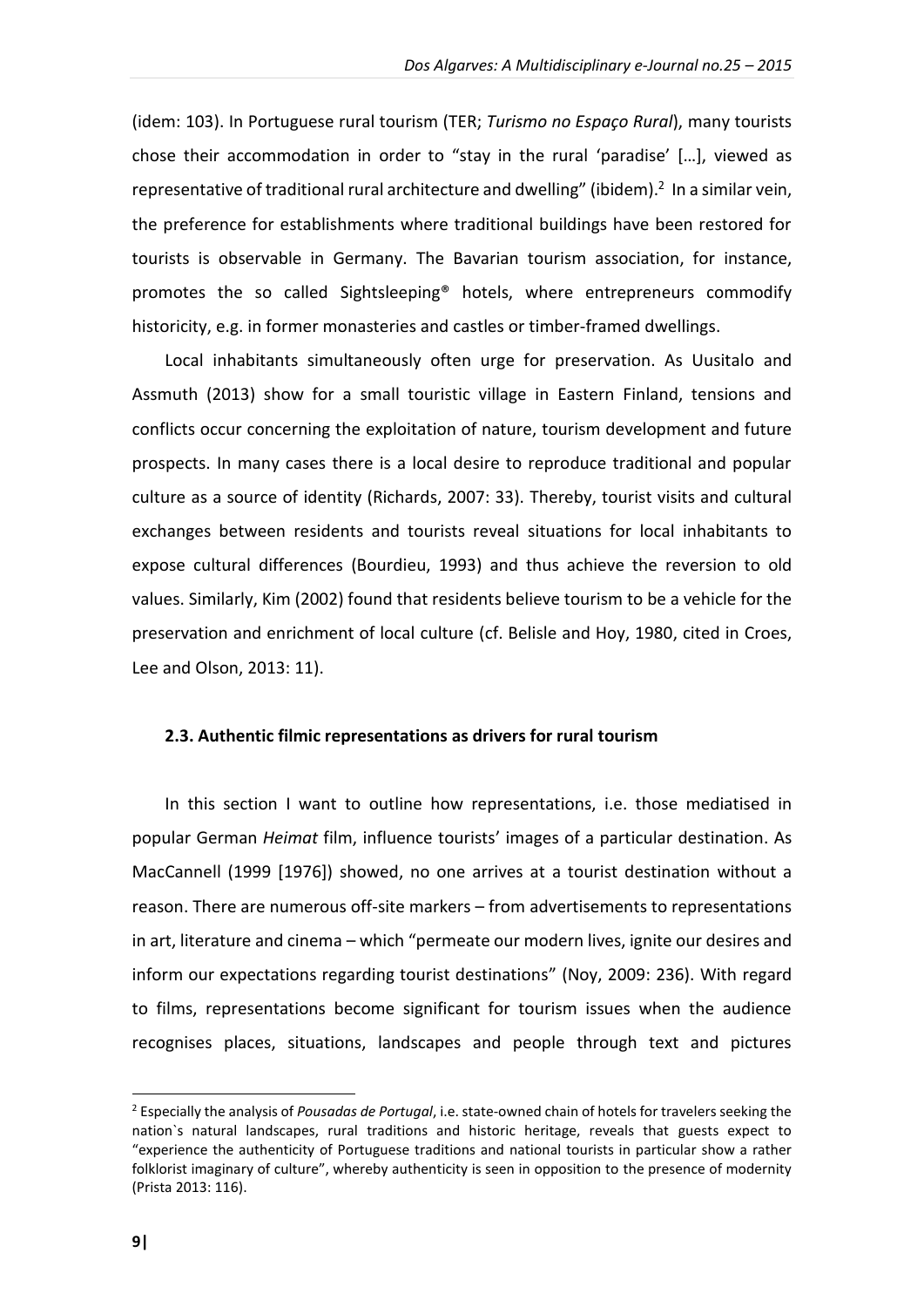(idem: 103). In Portuguese rural tourism (TER; *Turismo no Espaço Rural*), many tourists chose their accommodation in order to "stay in the rural 'paradise' […], viewed as representative of traditional rural architecture and dwelling" (ibidem).<sup>2</sup> In a similar vein, the preference for establishments where traditional buildings have been restored for tourists is observable in Germany. The Bavarian tourism association, for instance, promotes the so called Sightsleeping® hotels, where entrepreneurs commodify historicity, e.g. in former monasteries and castles or timber-framed dwellings.

Local inhabitants simultaneously often urge for preservation. As Uusitalo and Assmuth (2013) show for a small touristic village in Eastern Finland, tensions and conflicts occur concerning the exploitation of nature, tourism development and future prospects. In many cases there is a local desire to reproduce traditional and popular culture as a source of identity (Richards, 2007: 33). Thereby, tourist visits and cultural exchanges between residents and tourists reveal situations for local inhabitants to expose cultural differences (Bourdieu, 1993) and thus achieve the reversion to old values. Similarly, Kim (2002) found that residents believe tourism to be a vehicle for the preservation and enrichment of local culture (cf. Belisle and Hoy, 1980, cited in Croes, Lee and Olson, 2013: 11).

#### **2.3. Authentic filmic representations as drivers for rural tourism**

In this section I want to outline how representations, i.e. those mediatised in popular German *Heimat* film, influence tourists' images of a particular destination. As MacCannell (1999 [1976]) showed, no one arrives at a tourist destination without a reason. There are numerous off-site markers – from advertisements to representations in art, literature and cinema – which "permeate our modern lives, ignite our desires and inform our expectations regarding tourist destinations" (Noy, 2009: 236). With regard to films, representations become significant for tourism issues when the audience recognises places, situations, landscapes and people through text and pictures

1

<sup>2</sup> Especially the analysis of *Pousadas de Portugal*, i.e. state-owned chain of hotels for travelers seeking the nation`s natural landscapes, rural traditions and historic heritage, reveals that guests expect to "experience the authenticity of Portuguese traditions and national tourists in particular show a rather folklorist imaginary of culture", whereby authenticity is seen in opposition to the presence of modernity (Prista 2013: 116).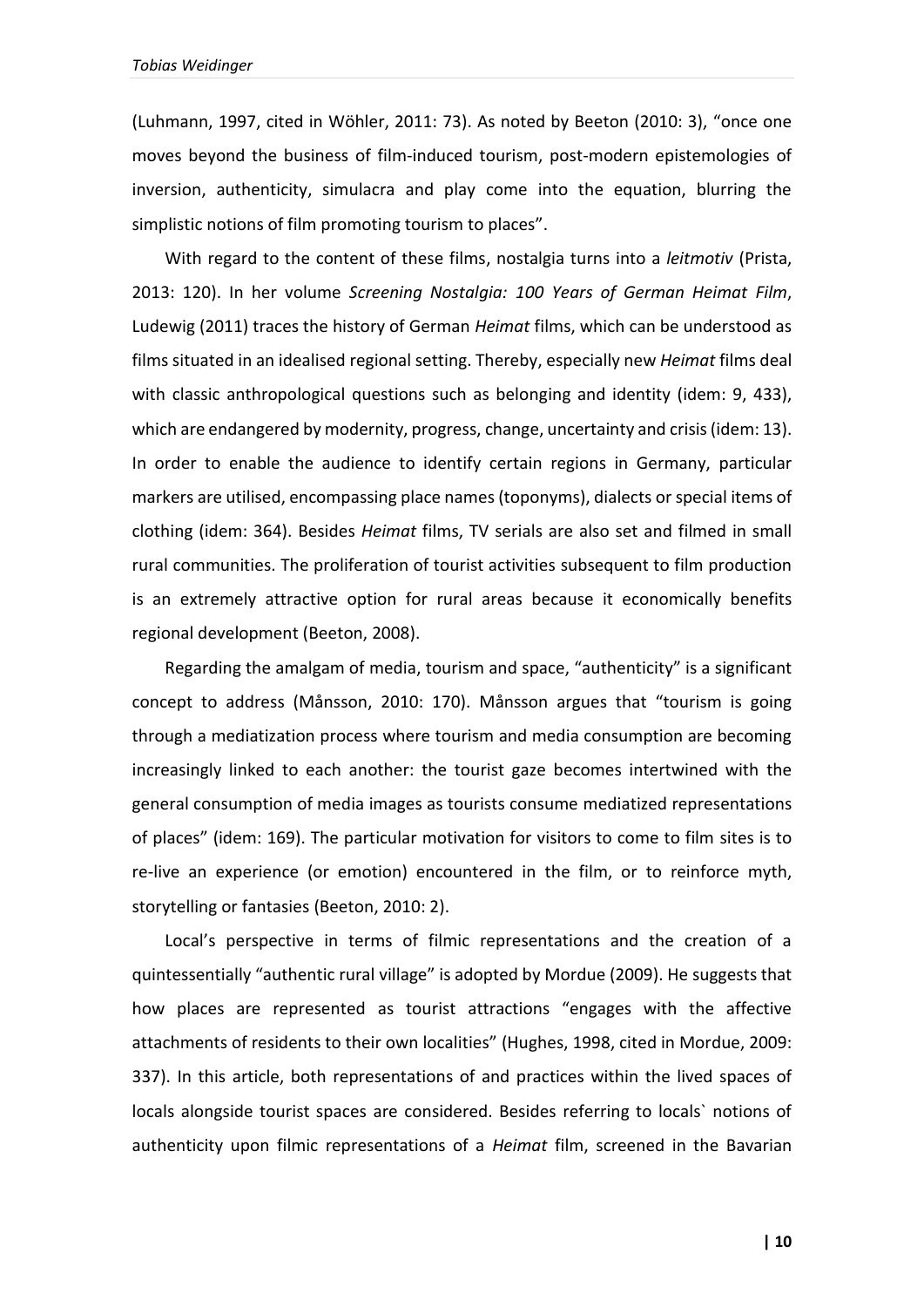(Luhmann, 1997, cited in Wöhler, 2011: 73). As noted by Beeton (2010: 3), "once one moves beyond the business of film-induced tourism, post-modern epistemologies of inversion, authenticity, simulacra and play come into the equation, blurring the simplistic notions of film promoting tourism to places".

With regard to the content of these films, nostalgia turns into a *leitmotiv* (Prista, 2013: 120). In her volume *Screening Nostalgia: 100 Years of German Heimat Film*, Ludewig (2011) traces the history of German *Heimat* films, which can be understood as films situated in an idealised regional setting. Thereby, especially new *Heimat* films deal with classic anthropological questions such as belonging and identity (idem: 9, 433), which are endangered by modernity, progress, change, uncertainty and crisis (idem: 13). In order to enable the audience to identify certain regions in Germany, particular markers are utilised, encompassing place names (toponyms), dialects or special items of clothing (idem: 364). Besides *Heimat* films, TV serials are also set and filmed in small rural communities. The proliferation of tourist activities subsequent to film production is an extremely attractive option for rural areas because it economically benefits regional development (Beeton, 2008).

Regarding the amalgam of media, tourism and space, "authenticity" is a significant concept to address (Månsson, 2010: 170). Månsson argues that "tourism is going through a mediatization process where tourism and media consumption are becoming increasingly linked to each another: the tourist gaze becomes intertwined with the general consumption of media images as tourists consume mediatized representations of places" (idem: 169). The particular motivation for visitors to come to film sites is to re-live an experience (or emotion) encountered in the film, or to reinforce myth, storytelling or fantasies (Beeton, 2010: 2).

Local's perspective in terms of filmic representations and the creation of a quintessentially "authentic rural village" is adopted by Mordue (2009). He suggests that how places are represented as tourist attractions "engages with the affective attachments of residents to their own localities" (Hughes, 1998, cited in Mordue, 2009: 337). In this article, both representations of and practices within the lived spaces of locals alongside tourist spaces are considered. Besides referring to locals` notions of authenticity upon filmic representations of a *Heimat* film, screened in the Bavarian

**| 10**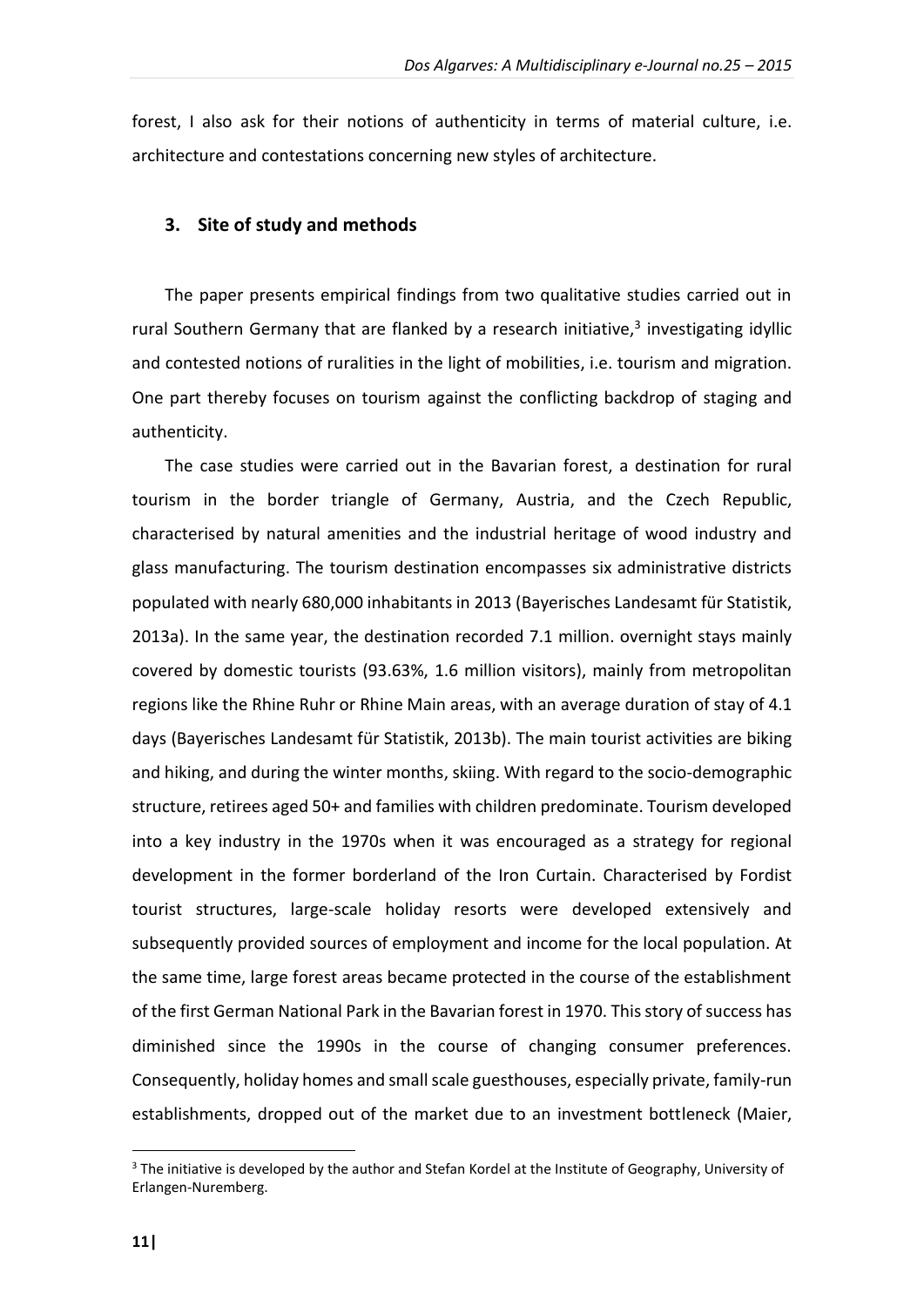forest, I also ask for their notions of authenticity in terms of material culture, i.e. architecture and contestations concerning new styles of architecture.

#### **3. Site of study and methods**

The paper presents empirical findings from two qualitative studies carried out in rural Southern Germany that are flanked by a research initiative,<sup>3</sup> investigating idyllic and contested notions of ruralities in the light of mobilities, i.e. tourism and migration. One part thereby focuses on tourism against the conflicting backdrop of staging and authenticity.

The case studies were carried out in the Bavarian forest, a destination for rural tourism in the border triangle of Germany, Austria, and the Czech Republic, characterised by natural amenities and the industrial heritage of wood industry and glass manufacturing. The tourism destination encompasses six administrative districts populated with nearly 680,000 inhabitants in 2013 (Bayerisches Landesamt für Statistik, 2013a). In the same year, the destination recorded 7.1 million. overnight stays mainly covered by domestic tourists (93.63%, 1.6 million visitors), mainly from metropolitan regions like the Rhine Ruhr or Rhine Main areas, with an average duration of stay of 4.1 days (Bayerisches Landesamt für Statistik, 2013b). The main tourist activities are biking and hiking, and during the winter months, skiing. With regard to the socio-demographic structure, retirees aged 50+ and families with children predominate. Tourism developed into a key industry in the 1970s when it was encouraged as a strategy for regional development in the former borderland of the Iron Curtain. Characterised by Fordist tourist structures, large-scale holiday resorts were developed extensively and subsequently provided sources of employment and income for the local population. At the same time, large forest areas became protected in the course of the establishment of the first German National Park in the Bavarian forest in 1970. This story of success has diminished since the 1990s in the course of changing consumer preferences. Consequently, holiday homes and small scale guesthouses, especially private, family-run establishments, dropped out of the market due to an investment bottleneck (Maier,

1

<sup>&</sup>lt;sup>3</sup> The initiative is developed by the author and Stefan Kordel at the Institute of Geography, University of Erlangen-Nuremberg.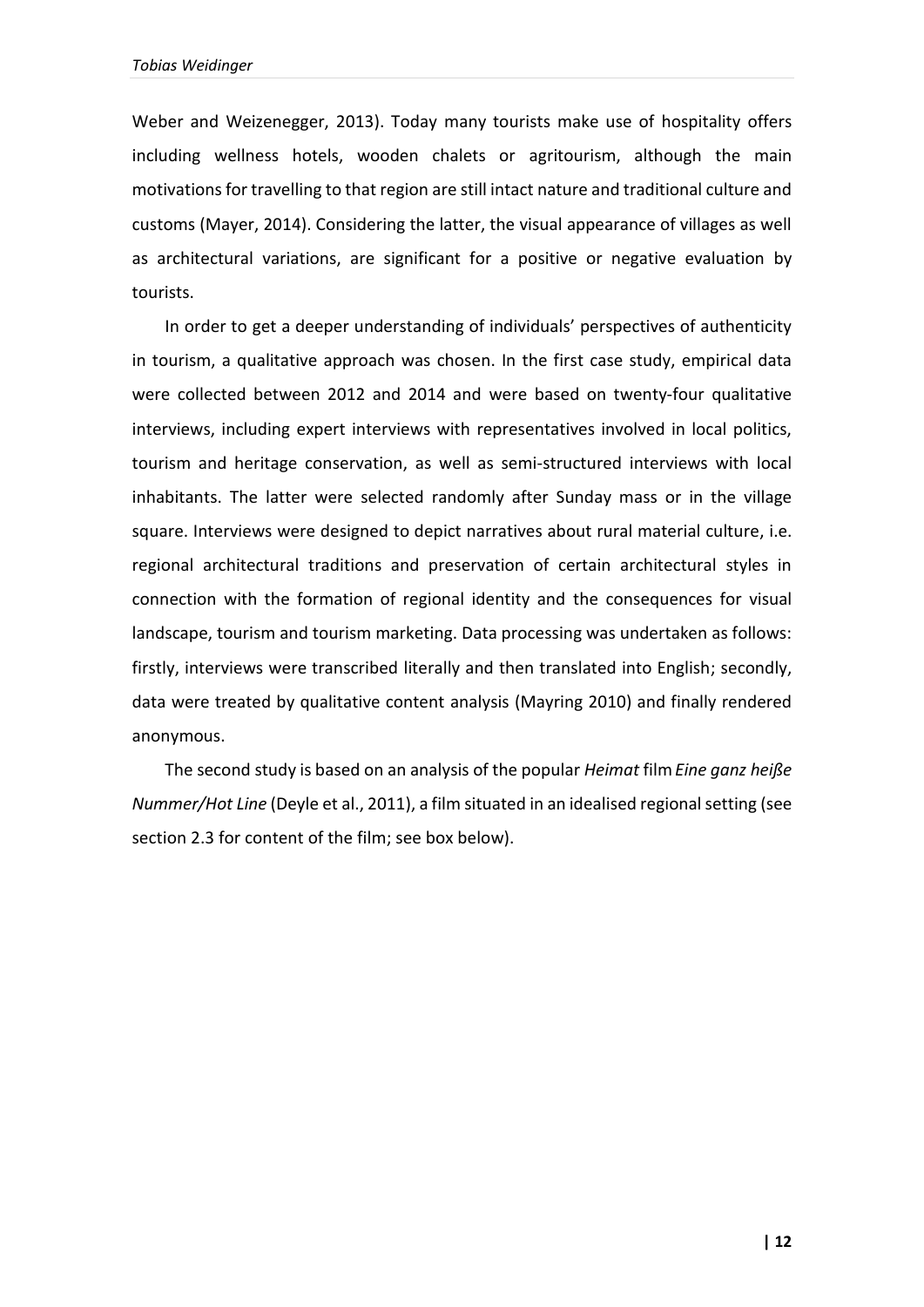Weber and Weizenegger, 2013). Today many tourists make use of hospitality offers including wellness hotels, wooden chalets or agritourism, although the main motivations for travelling to that region are still intact nature and traditional culture and customs (Mayer, 2014). Considering the latter, the visual appearance of villages as well as architectural variations, are significant for a positive or negative evaluation by tourists.

In order to get a deeper understanding of individuals' perspectives of authenticity in tourism, a qualitative approach was chosen. In the first case study, empirical data were collected between 2012 and 2014 and were based on twenty-four qualitative interviews, including expert interviews with representatives involved in local politics, tourism and heritage conservation, as well as semi-structured interviews with local inhabitants. The latter were selected randomly after Sunday mass or in the village square. Interviews were designed to depict narratives about rural material culture, i.e. regional architectural traditions and preservation of certain architectural styles in connection with the formation of regional identity and the consequences for visual landscape, tourism and tourism marketing. Data processing was undertaken as follows: firstly, interviews were transcribed literally and then translated into English; secondly, data were treated by qualitative content analysis (Mayring 2010) and finally rendered anonymous.

The second study is based on an analysis of the popular *Heimat* film*Eine ganz heiße Nummer/Hot Line* (Deyle et al., 2011), a film situated in an idealised regional setting (see section 2.3 for content of the film; see box below).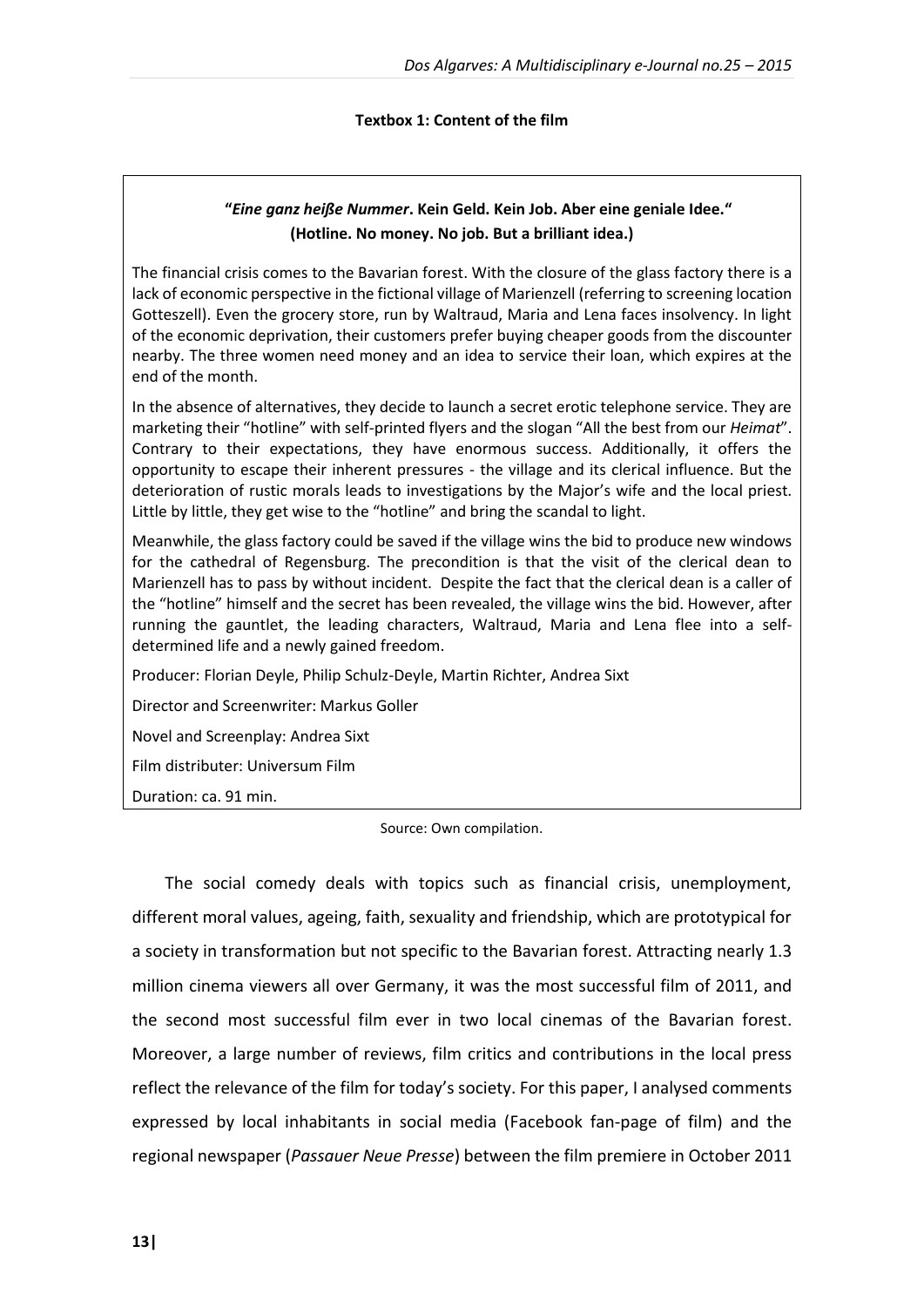### **Textbox 1: Content of the film**

## **"***Eine ganz heiße Nummer***. Kein Geld. Kein Job. Aber eine geniale Idee." (Hotline. No money. No job. But a brilliant idea.)**

The financial crisis comes to the Bavarian forest. With the closure of the glass factory there is a lack of economic perspective in the fictional village of Marienzell (referring to screening location Gotteszell). Even the grocery store, run by Waltraud, Maria and Lena faces insolvency. In light of the economic deprivation, their customers prefer buying cheaper goods from the discounter nearby. The three women need money and an idea to service their loan, which expires at the end of the month.

In the absence of alternatives, they decide to launch a secret erotic telephone service. They are marketing their "hotline" with self-printed flyers and the slogan "All the best from our *Heimat*". Contrary to their expectations, they have enormous success. Additionally, it offers the opportunity to escape their inherent pressures - the village and its clerical influence. But the deterioration of rustic morals leads to investigations by the Major's wife and the local priest. Little by little, they get wise to the "hotline" and bring the scandal to light.

Meanwhile, the glass factory could be saved if the village wins the bid to produce new windows for the cathedral of Regensburg. The precondition is that the visit of the clerical dean to Marienzell has to pass by without incident. Despite the fact that the clerical dean is a caller of the "hotline" himself and the secret has been revealed, the village wins the bid. However, after running the gauntlet, the leading characters, Waltraud, Maria and Lena flee into a selfdetermined life and a newly gained freedom.

Producer: Florian Deyle, Philip Schulz-Deyle, Martin Richter, Andrea Sixt

Director and Screenwriter: Markus Goller

Novel and Screenplay: Andrea Sixt

Film distributer: Universum Film

Duration: ca. 91 min.

Source: Own compilation.

The social comedy deals with topics such as financial crisis, unemployment, different moral values, ageing, faith, sexuality and friendship, which are prototypical for a society in transformation but not specific to the Bavarian forest. Attracting nearly 1.3 million cinema viewers all over Germany, it was the most successful film of 2011, and the second most successful film ever in two local cinemas of the Bavarian forest. Moreover, a large number of reviews, film critics and contributions in the local press reflect the relevance of the film for today's society. For this paper, I analysed comments expressed by local inhabitants in social media (Facebook fan-page of film) and the regional newspaper (*Passauer Neue Presse*) between the film premiere in October 2011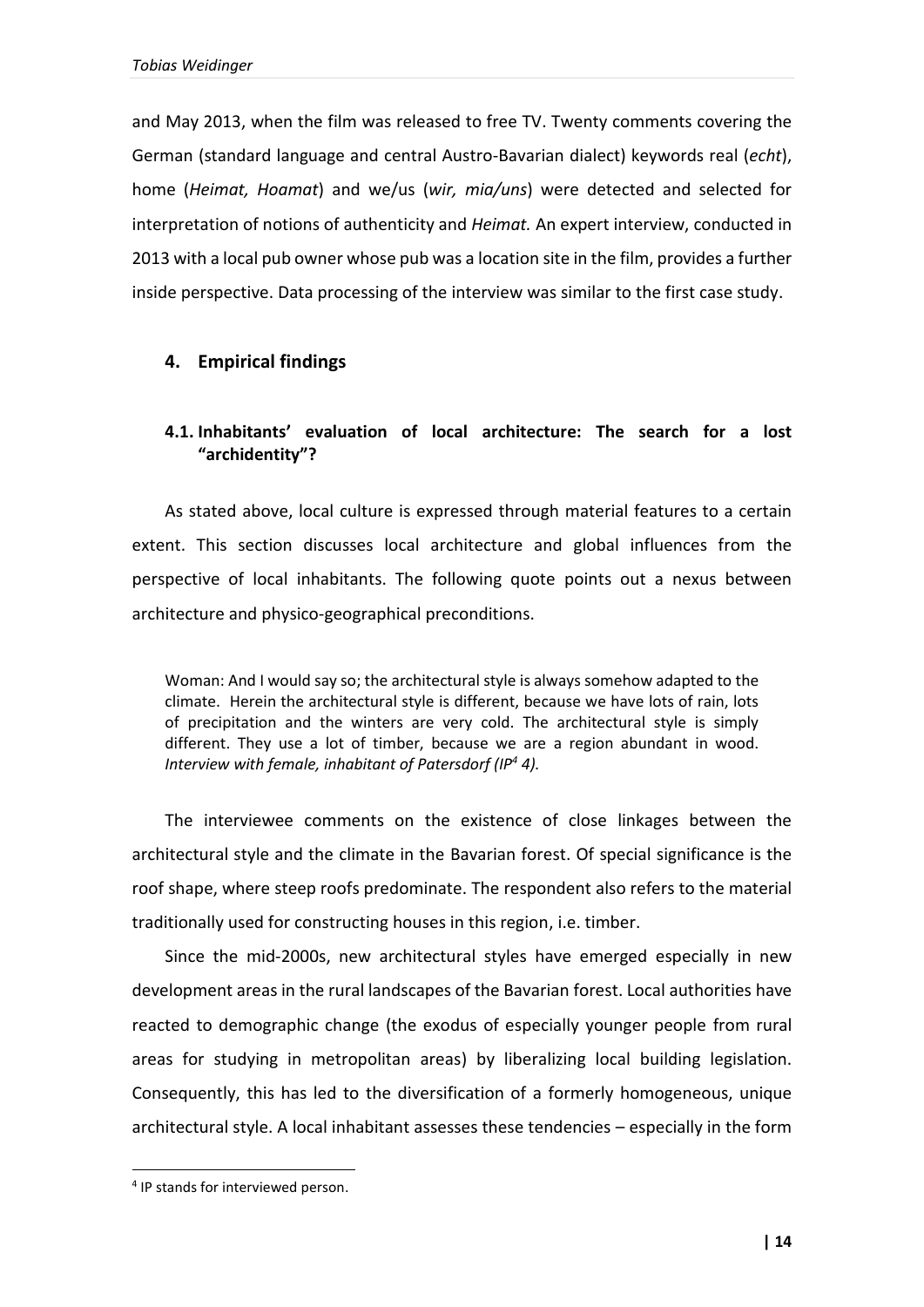and May 2013, when the film was released to free TV. Twenty comments covering the German (standard language and central Austro-Bavarian dialect) keywords real (*echt*), home (*Heimat, Hoamat*) and we/us (*wir, mia/uns*) were detected and selected for interpretation of notions of authenticity and *Heimat.* An expert interview, conducted in 2013 with a local pub owner whose pub was a location site in the film, provides a further inside perspective. Data processing of the interview was similar to the first case study.

## **4. Empirical findings**

# **4.1. Inhabitants' evaluation of local architecture: The search for a lost "archidentity"?**

As stated above, local culture is expressed through material features to a certain extent. This section discusses local architecture and global influences from the perspective of local inhabitants. The following quote points out a nexus between architecture and physico-geographical preconditions.

Woman: And I would say so; the architectural style is always somehow adapted to the climate. Herein the architectural style is different, because we have lots of rain, lots of precipitation and the winters are very cold. The architectural style is simply different. They use a lot of timber, because we are a region abundant in wood. *Interview with female, inhabitant of Patersdorf (IP<sup>4</sup> 4).*

The interviewee comments on the existence of close linkages between the architectural style and the climate in the Bavarian forest. Of special significance is the roof shape, where steep roofs predominate. The respondent also refers to the material traditionally used for constructing houses in this region, i.e. timber.

Since the mid-2000s, new architectural styles have emerged especially in new development areas in the rural landscapes of the Bavarian forest. Local authorities have reacted to demographic change (the exodus of especially younger people from rural areas for studying in metropolitan areas) by liberalizing local building legislation. Consequently, this has led to the diversification of a formerly homogeneous, unique architectural style. A local inhabitant assesses these tendencies – especially in the form

**.** 

<sup>&</sup>lt;sup>4</sup> IP stands for interviewed person.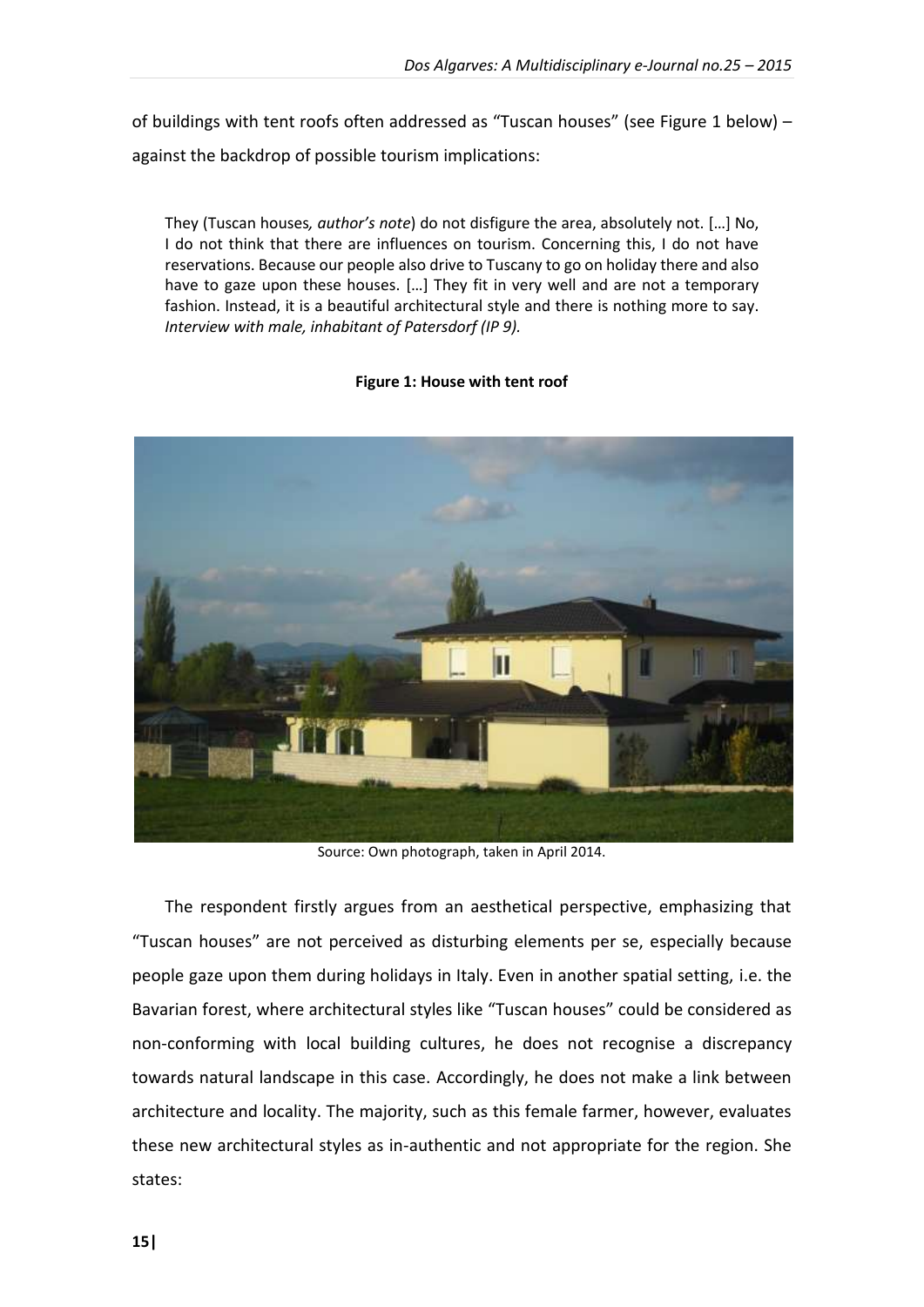of buildings with tent roofs often addressed as "Tuscan houses" (see Figure 1 below) – against the backdrop of possible tourism implications:

They (Tuscan houses*, author's note*) do not disfigure the area, absolutely not. […] No, I do not think that there are influences on tourism. Concerning this, I do not have reservations. Because our people also drive to Tuscany to go on holiday there and also have to gaze upon these houses. […] They fit in very well and are not a temporary fashion. Instead, it is a beautiful architectural style and there is nothing more to say. *Interview with male, inhabitant of Patersdorf (IP 9).*

### **Figure 1: House with tent roof**



Source: Own photograph, taken in April 2014.

The respondent firstly argues from an aesthetical perspective, emphasizing that "Tuscan houses" are not perceived as disturbing elements per se, especially because people gaze upon them during holidays in Italy. Even in another spatial setting, i.e. the Bavarian forest, where architectural styles like "Tuscan houses" could be considered as non-conforming with local building cultures, he does not recognise a discrepancy towards natural landscape in this case. Accordingly, he does not make a link between architecture and locality. The majority, such as this female farmer, however, evaluates these new architectural styles as in-authentic and not appropriate for the region. She states: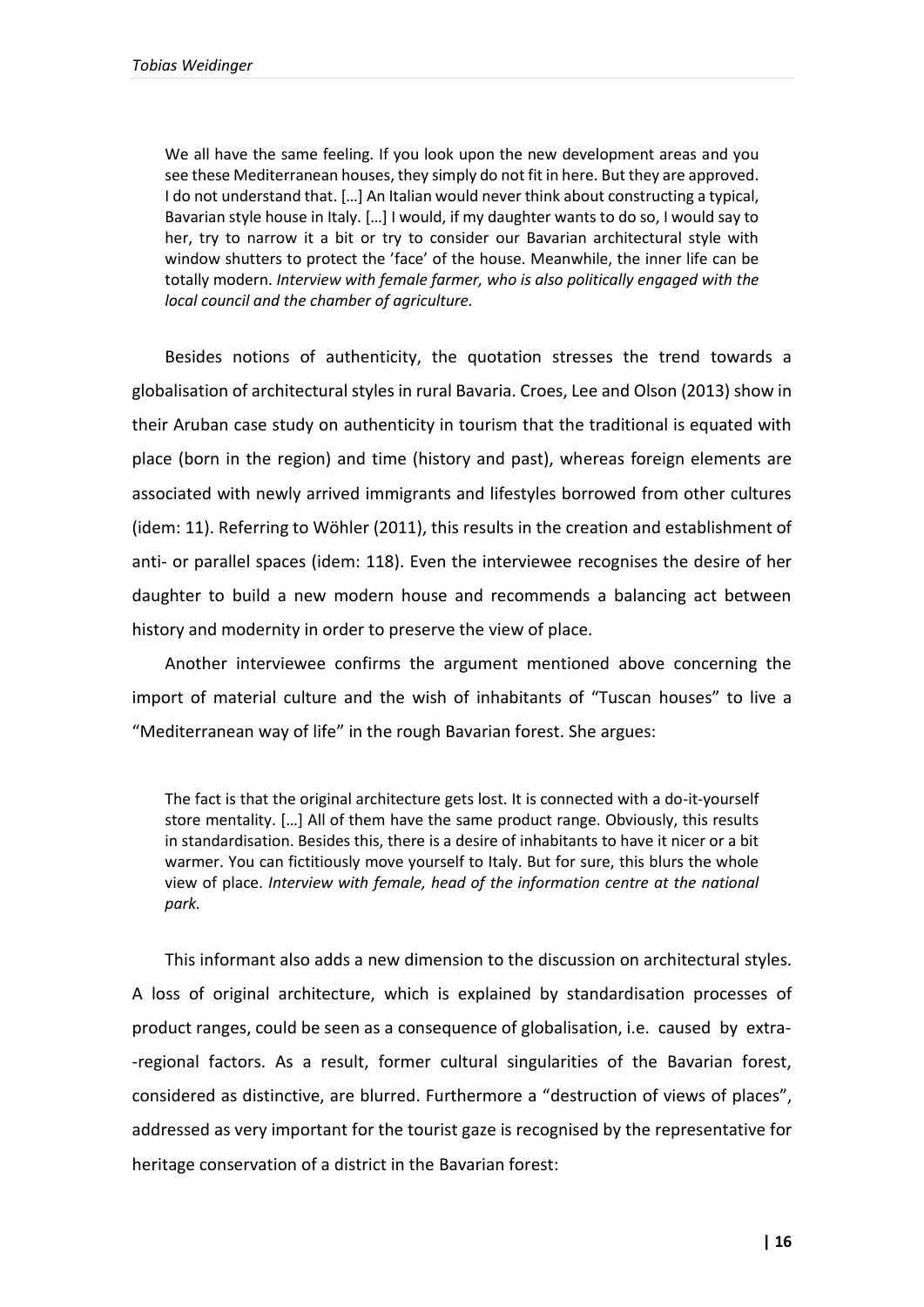We all have the same feeling. If you look upon the new development areas and you see these Mediterranean houses, they simply do not fit in here. But they are approved. I do not understand that. […] An Italian would never think about constructing a typical, Bavarian style house in Italy. […] I would, if my daughter wants to do so, I would say to her, try to narrow it a bit or try to consider our Bavarian architectural style with window shutters to protect the 'face' of the house. Meanwhile, the inner life can be totally modern. *Interview with female farmer, who is also politically engaged with the local council and the chamber of agriculture.*

Besides notions of authenticity, the quotation stresses the trend towards a globalisation of architectural styles in rural Bavaria. Croes, Lee and Olson (2013) show in their Aruban case study on authenticity in tourism that the traditional is equated with place (born in the region) and time (history and past), whereas foreign elements are associated with newly arrived immigrants and lifestyles borrowed from other cultures (idem: 11). Referring to Wöhler (2011), this results in the creation and establishment of anti- or parallel spaces (idem: 118). Even the interviewee recognises the desire of her daughter to build a new modern house and recommends a balancing act between history and modernity in order to preserve the view of place.

Another interviewee confirms the argument mentioned above concerning the import of material culture and the wish of inhabitants of "Tuscan houses" to live a "Mediterranean way of life" in the rough Bavarian forest. She argues:

The fact is that the original architecture gets lost. It is connected with a do-it-yourself store mentality. […] All of them have the same product range. Obviously, this results in standardisation. Besides this, there is a desire of inhabitants to have it nicer or a bit warmer. You can fictitiously move yourself to Italy. But for sure, this blurs the whole view of place. *Interview with female, head of the information centre at the national park.*

This informant also adds a new dimension to the discussion on architectural styles. A loss of original architecture, which is explained by standardisation processes of product ranges, could be seen as a consequence of globalisation, i.e. caused by extra- -regional factors. As a result, former cultural singularities of the Bavarian forest, considered as distinctive, are blurred. Furthermore a "destruction of views of places", addressed as very important for the tourist gaze is recognised by the representative for heritage conservation of a district in the Bavarian forest: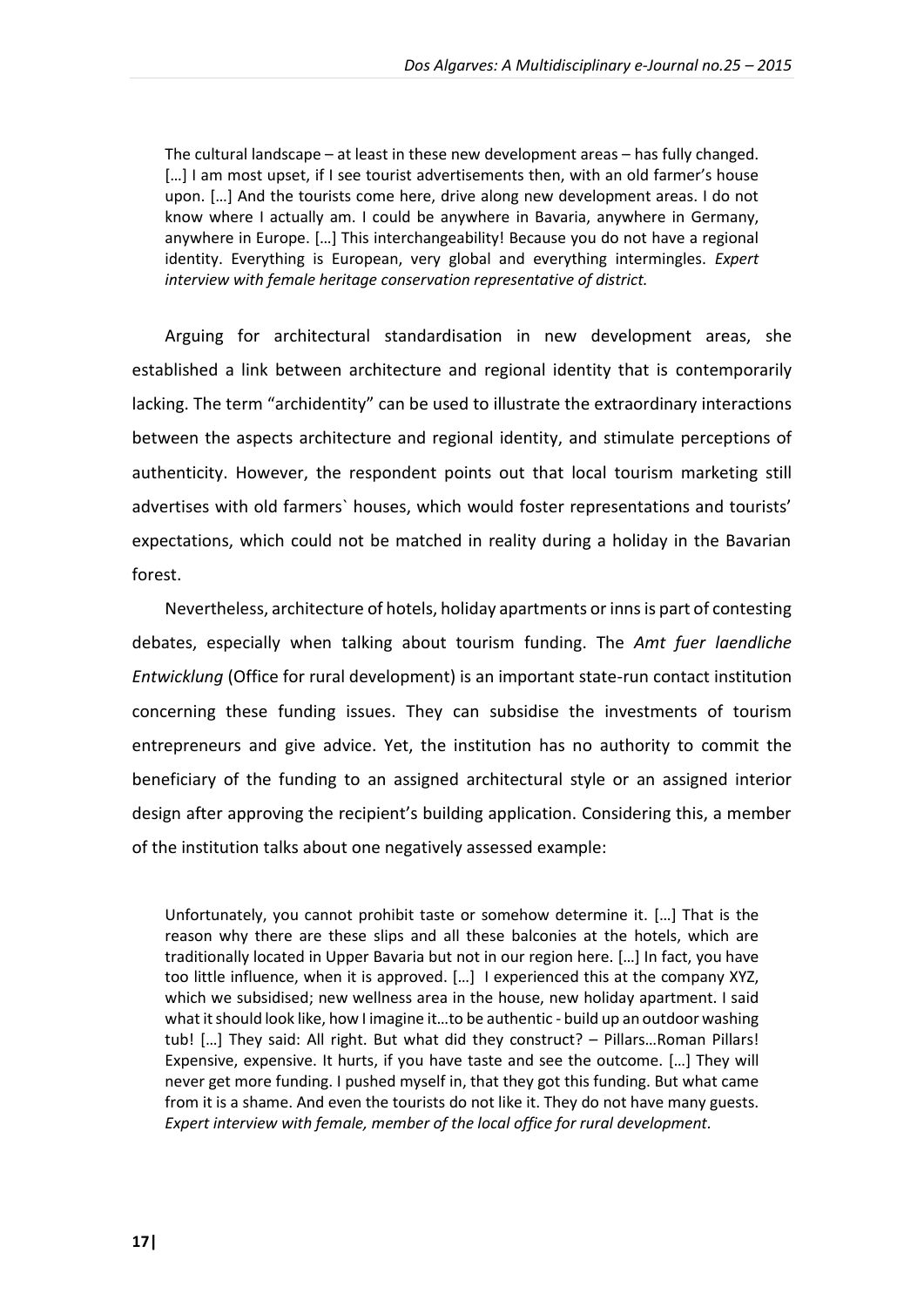The cultural landscape – at least in these new development areas – has fully changed. [...] I am most upset, if I see tourist advertisements then, with an old farmer's house upon. […] And the tourists come here, drive along new development areas. I do not know where I actually am. I could be anywhere in Bavaria, anywhere in Germany, anywhere in Europe. […] This interchangeability! Because you do not have a regional identity. Everything is European, very global and everything intermingles. *Expert interview with female heritage conservation representative of district.*

Arguing for architectural standardisation in new development areas, she established a link between architecture and regional identity that is contemporarily lacking. The term "archidentity" can be used to illustrate the extraordinary interactions between the aspects architecture and regional identity, and stimulate perceptions of authenticity. However, the respondent points out that local tourism marketing still advertises with old farmers` houses, which would foster representations and tourists' expectations, which could not be matched in reality during a holiday in the Bavarian forest.

Nevertheless, architecture of hotels, holiday apartments or inns is part of contesting debates, especially when talking about tourism funding. The *Amt fuer laendliche Entwicklung* (Office for rural development) is an important state-run contact institution concerning these funding issues. They can subsidise the investments of tourism entrepreneurs and give advice. Yet, the institution has no authority to commit the beneficiary of the funding to an assigned architectural style or an assigned interior design after approving the recipient's building application. Considering this, a member of the institution talks about one negatively assessed example:

Unfortunately, you cannot prohibit taste or somehow determine it. […] That is the reason why there are these slips and all these balconies at the hotels, which are traditionally located in Upper Bavaria but not in our region here. […] In fact, you have too little influence, when it is approved. […] I experienced this at the company XYZ, which we subsidised; new wellness area in the house, new holiday apartment. I said what it should look like, how I imagine it…to be authentic - build up an outdoor washing tub! […] They said: All right. But what did they construct? – Pillars…Roman Pillars! Expensive, expensive. It hurts, if you have taste and see the outcome. […] They will never get more funding. I pushed myself in, that they got this funding. But what came from it is a shame. And even the tourists do not like it. They do not have many guests. *Expert interview with female, member of the local office for rural development.*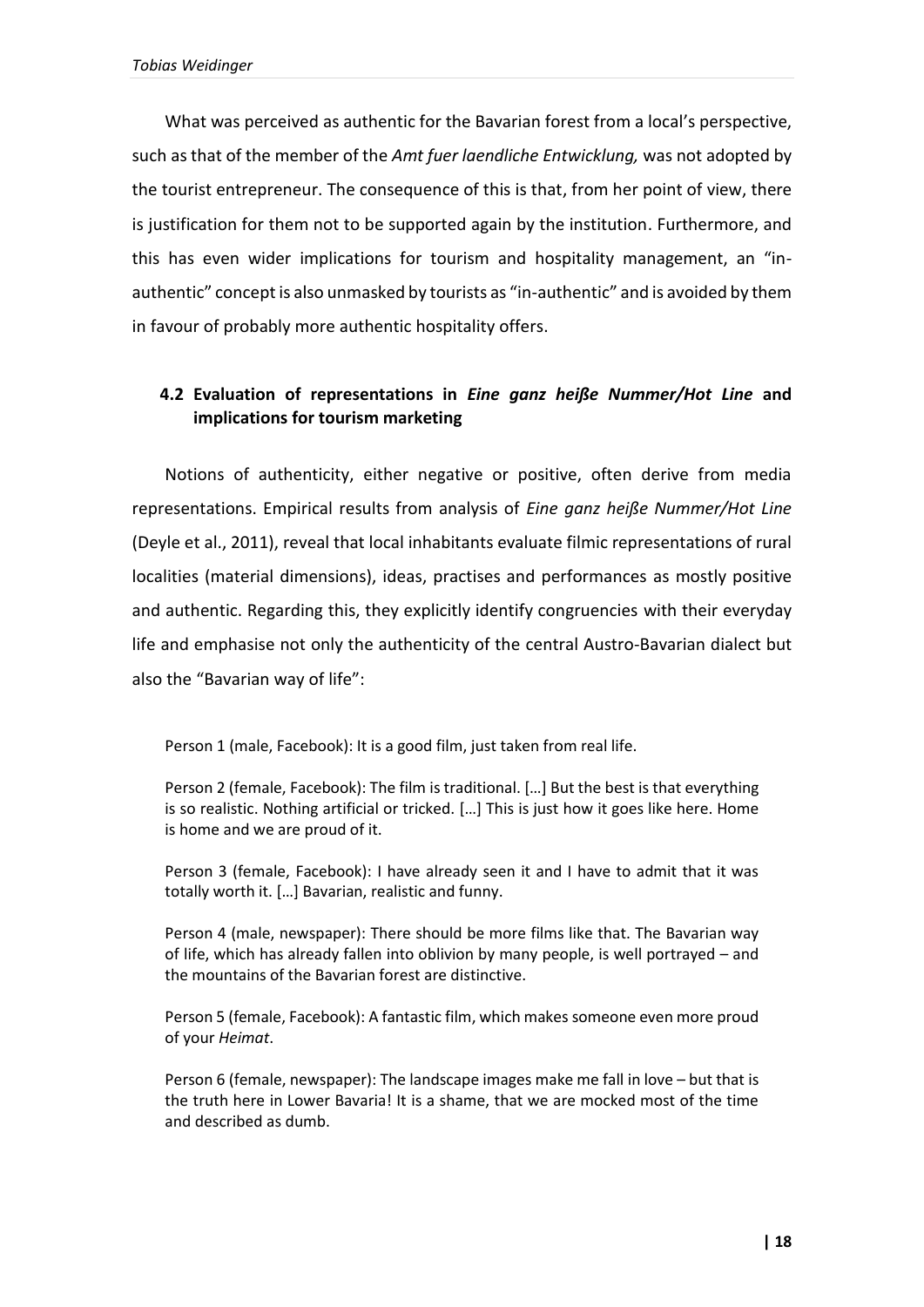What was perceived as authentic for the Bavarian forest from a local's perspective, such as that of the member of the *Amt fuer laendliche Entwicklung,* was not adopted by the tourist entrepreneur. The consequence of this is that, from her point of view, there is justification for them not to be supported again by the institution. Furthermore, and this has even wider implications for tourism and hospitality management, an "inauthentic" concept is also unmasked by tourists as "in-authentic" and is avoided by them in favour of probably more authentic hospitality offers.

# **4.2 Evaluation of representations in** *Eine ganz heiße Nummer/Hot Line* **and implications for tourism marketing**

Notions of authenticity, either negative or positive, often derive from media representations. Empirical results from analysis of *Eine ganz heiße Nummer/Hot Line* (Deyle et al., 2011), reveal that local inhabitants evaluate filmic representations of rural localities (material dimensions), ideas, practises and performances as mostly positive and authentic. Regarding this, they explicitly identify congruencies with their everyday life and emphasise not only the authenticity of the central Austro-Bavarian dialect but also the "Bavarian way of life":

Person 1 (male, Facebook): It is a good film, just taken from real life.

Person 2 (female, Facebook): The film is traditional. […] But the best is that everything is so realistic. Nothing artificial or tricked. […] This is just how it goes like here. Home is home and we are proud of it.

Person 3 (female, Facebook): I have already seen it and I have to admit that it was totally worth it. […] Bavarian, realistic and funny.

Person 4 (male, newspaper): There should be more films like that. The Bavarian way of life, which has already fallen into oblivion by many people, is well portrayed – and the mountains of the Bavarian forest are distinctive.

Person 5 (female, Facebook): A fantastic film, which makes someone even more proud of your *Heimat*.

Person 6 (female, newspaper): The landscape images make me fall in love – but that is the truth here in Lower Bavaria! It is a shame, that we are mocked most of the time and described as dumb.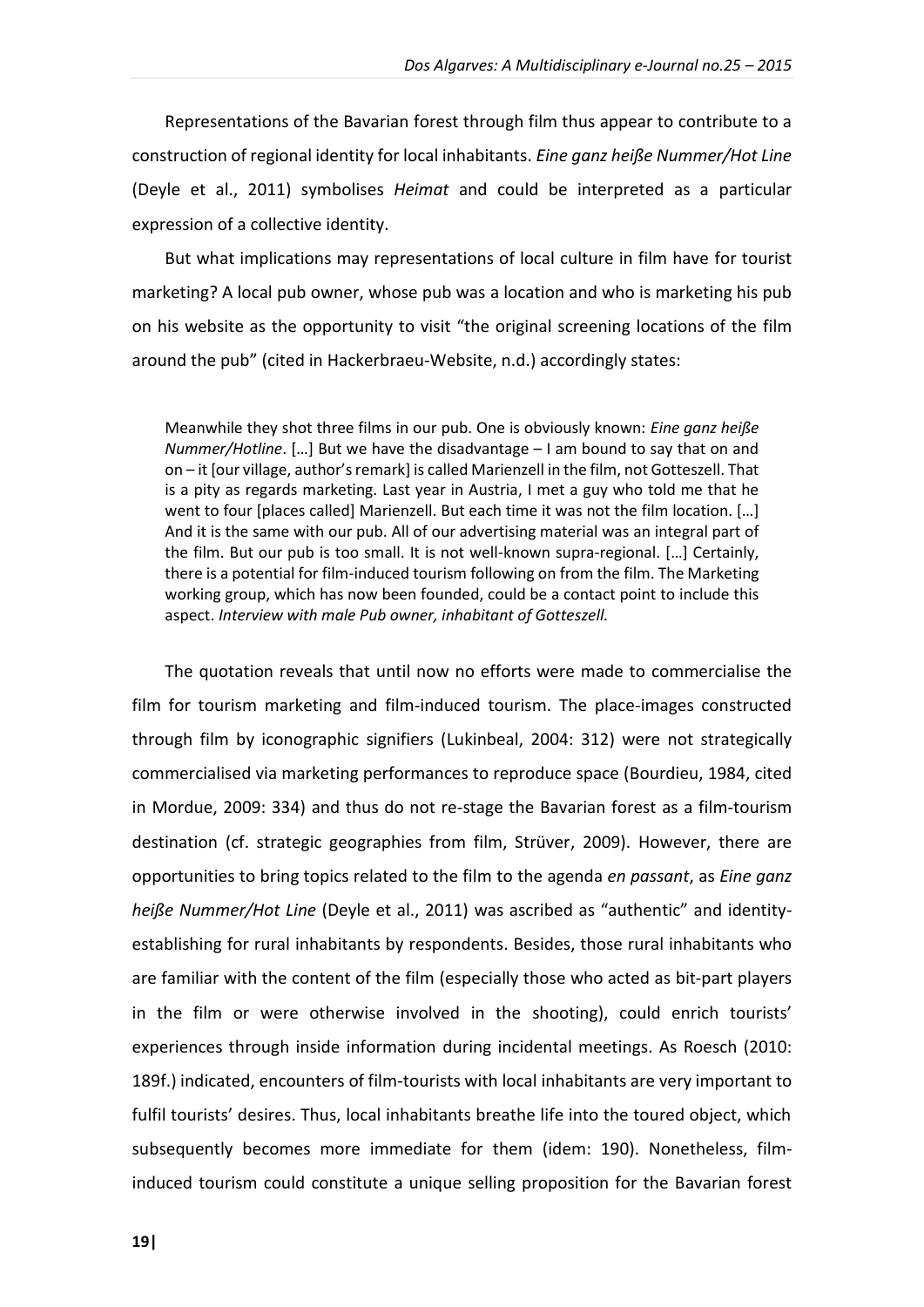Representations of the Bavarian forest through film thus appear to contribute to a construction of regional identity for local inhabitants. *Eine ganz heiße Nummer/Hot Line* (Deyle et al., 2011) symbolises *Heimat* and could be interpreted as a particular expression of a collective identity.

But what implications may representations of local culture in film have for tourist marketing? A local pub owner, whose pub was a location and who is marketing his pub on his website as the opportunity to visit "the original screening locations of the film around the pub" (cited in Hackerbraeu-Website, n.d.) accordingly states:

Meanwhile they shot three films in our pub. One is obviously known: *Eine ganz heiße Nummer/Hotline*. […] But we have the disadvantage – I am bound to say that on and on – it [our village, author's remark] is called Marienzell in the film, not Gotteszell. That is a pity as regards marketing. Last year in Austria, I met a guy who told me that he went to four [places called] Marienzell. But each time it was not the film location. [...] And it is the same with our pub. All of our advertising material was an integral part of the film. But our pub is too small. It is not well-known supra-regional. […] Certainly, there is a potential for film-induced tourism following on from the film. The Marketing working group, which has now been founded, could be a contact point to include this aspect. *Interview with male Pub owner, inhabitant of Gotteszell.*

The quotation reveals that until now no efforts were made to commercialise the film for tourism marketing and film-induced tourism. The place-images constructed through film by iconographic signifiers (Lukinbeal, 2004: 312) were not strategically commercialised via marketing performances to reproduce space (Bourdieu, 1984, cited in Mordue, 2009: 334) and thus do not re-stage the Bavarian forest as a film-tourism destination (cf. strategic geographies from film, Strüver, 2009). However, there are opportunities to bring topics related to the film to the agenda *en passant*, as *Eine ganz heiße Nummer/Hot Line* (Deyle et al., 2011) was ascribed as "authentic" and identityestablishing for rural inhabitants by respondents. Besides, those rural inhabitants who are familiar with the content of the film (especially those who acted as bit-part players in the film or were otherwise involved in the shooting), could enrich tourists' experiences through inside information during incidental meetings. As Roesch (2010: 189f.) indicated, encounters of film-tourists with local inhabitants are very important to fulfil tourists' desires. Thus, local inhabitants breathe life into the toured object, which subsequently becomes more immediate for them (idem: 190). Nonetheless, filminduced tourism could constitute a unique selling proposition for the Bavarian forest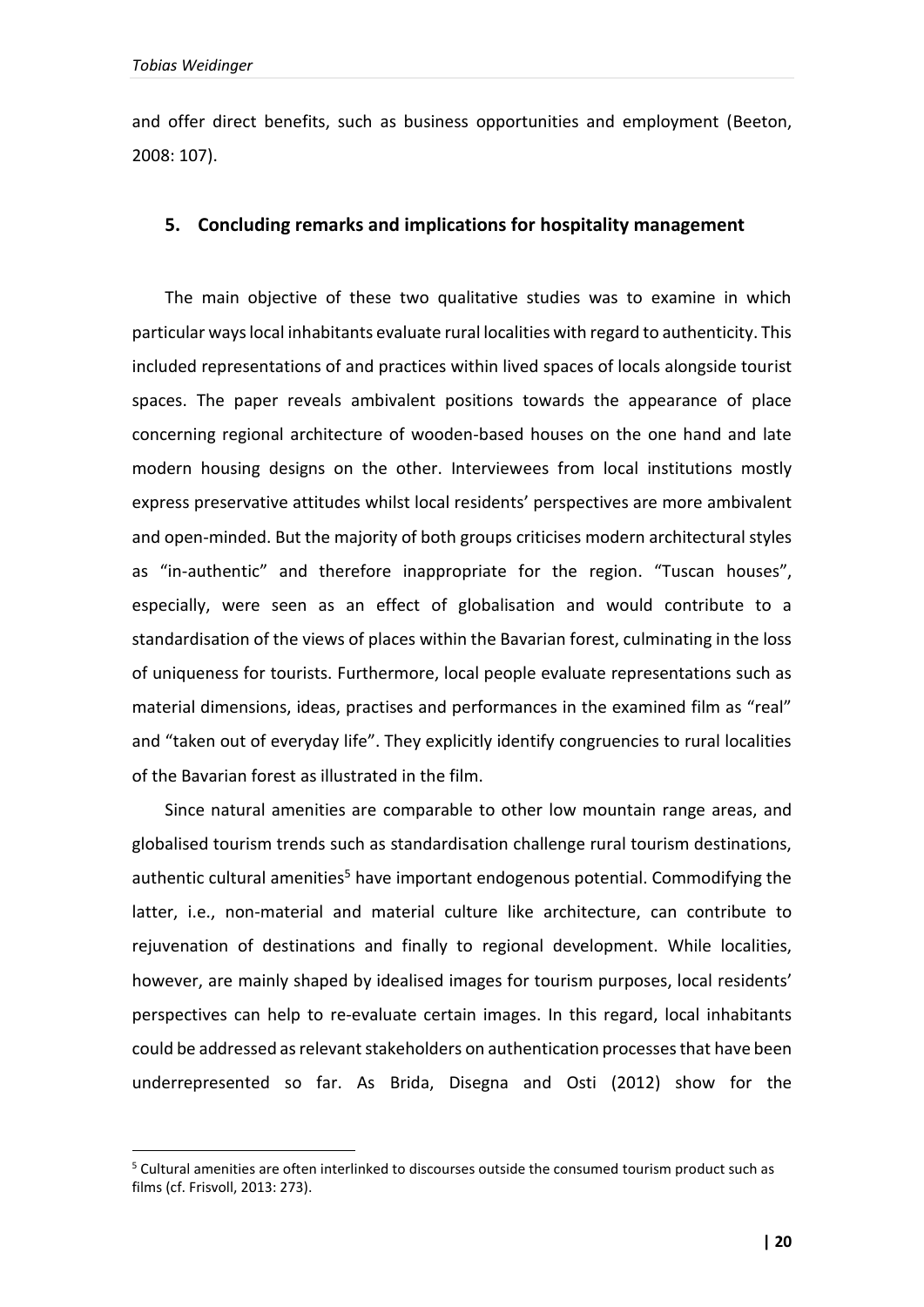1

and offer direct benefits, such as business opportunities and employment (Beeton, 2008: 107).

## **5. Concluding remarks and implications for hospitality management**

The main objective of these two qualitative studies was to examine in which particular ways local inhabitants evaluate rural localities with regard to authenticity. This included representations of and practices within lived spaces of locals alongside tourist spaces. The paper reveals ambivalent positions towards the appearance of place concerning regional architecture of wooden-based houses on the one hand and late modern housing designs on the other. Interviewees from local institutions mostly express preservative attitudes whilst local residents' perspectives are more ambivalent and open-minded. But the majority of both groups criticises modern architectural styles as "in-authentic" and therefore inappropriate for the region. "Tuscan houses", especially, were seen as an effect of globalisation and would contribute to a standardisation of the views of places within the Bavarian forest, culminating in the loss of uniqueness for tourists. Furthermore, local people evaluate representations such as material dimensions, ideas, practises and performances in the examined film as "real" and "taken out of everyday life". They explicitly identify congruencies to rural localities of the Bavarian forest as illustrated in the film.

Since natural amenities are comparable to other low mountain range areas, and globalised tourism trends such as standardisation challenge rural tourism destinations, authentic cultural amenities<sup>5</sup> have important endogenous potential. Commodifying the latter, i.e., non-material and material culture like architecture, can contribute to rejuvenation of destinations and finally to regional development. While localities, however, are mainly shaped by idealised images for tourism purposes, local residents' perspectives can help to re-evaluate certain images. In this regard, local inhabitants could be addressed as relevant stakeholders on authentication processes that have been underrepresented so far. As Brida, Disegna and Osti (2012) show for the

<sup>5</sup> Cultural amenities are often interlinked to discourses outside the consumed tourism product such as films (cf. Frisvoll, 2013: 273).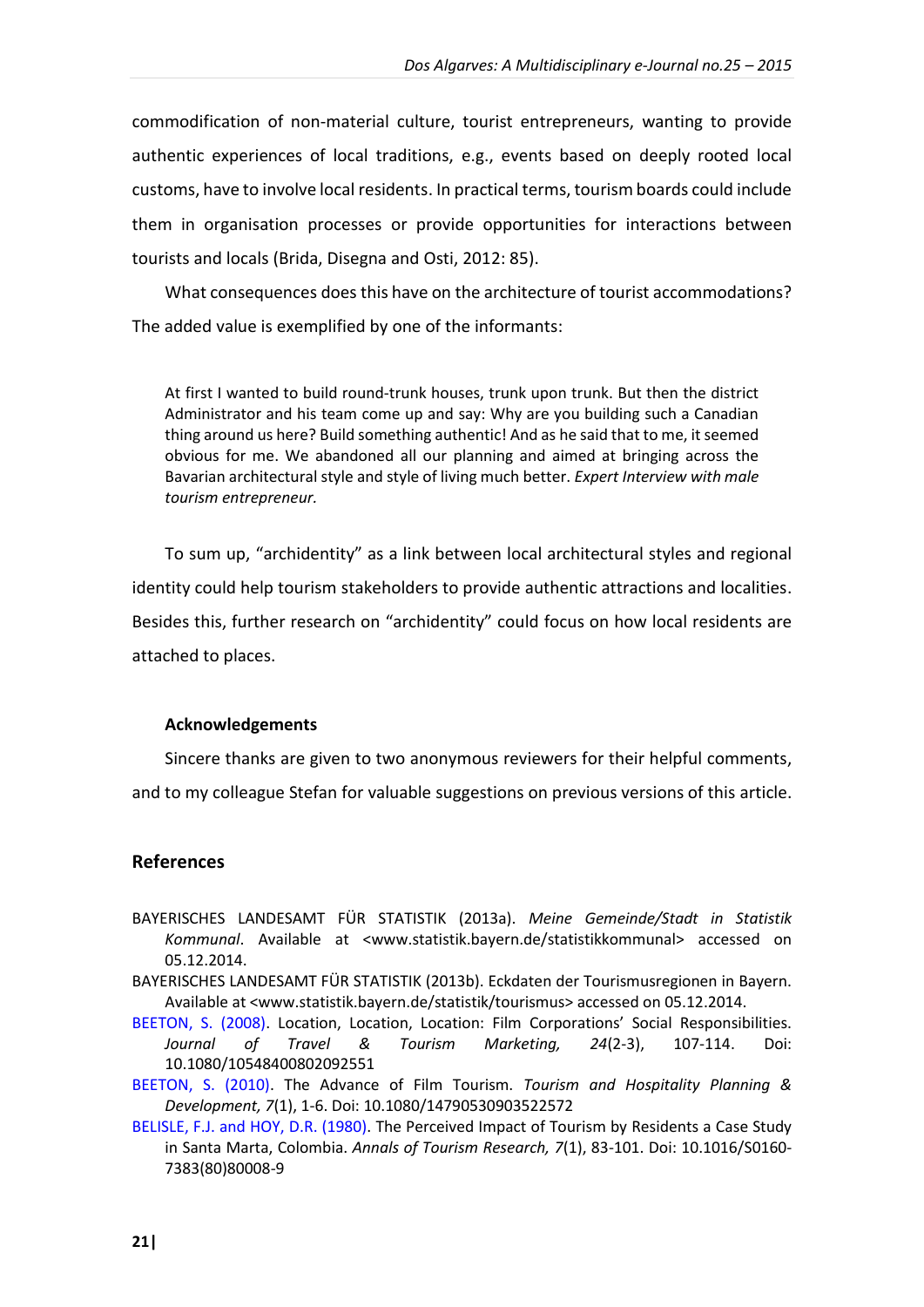commodification of non-material culture, tourist entrepreneurs, wanting to provide authentic experiences of local traditions, e.g., events based on deeply rooted local customs, have to involve local residents. In practical terms, tourism boards could include them in organisation processes or provide opportunities for interactions between tourists and locals (Brida, Disegna and Osti, 2012: 85).

What consequences does this have on the architecture of tourist accommodations? The added value is exemplified by one of the informants:

At first I wanted to build round-trunk houses, trunk upon trunk. But then the district Administrator and his team come up and say: Why are you building such a Canadian thing around us here? Build something authentic! And as he said that to me, it seemed obvious for me. We abandoned all our planning and aimed at bringing across the Bavarian architectural style and style of living much better. *Expert Interview with male tourism entrepreneur.*

To sum up, "archidentity" as a link between local architectural styles and regional identity could help tourism stakeholders to provide authentic attractions and localities. Besides this, further research on "archidentity" could focus on how local residents are attached to places.

#### **Acknowledgements**

Sincere thanks are given to two anonymous reviewers for their helpful comments,

and to my colleague Stefan for valuable suggestions on previous versions of this article.

#### **References**

- BAYERISCHES LANDESAMT FÜR STATISTIK (2013a). *Meine Gemeinde/Stadt in Statistik Kommunal*. Available at <www.statistik.bayern.de/statistikkommunal> accessed on 05.12.2014.
- BAYERISCHES LANDESAMT FÜR STATISTIK (2013b). Eckdaten der Tourismusregionen in Bayern. Available at <www.statistik.bayern.de/statistik/tourismus> accessed on 05.12.2014.
- [BEETON, S. \(2008\).](http://www.tandfonline.com/doi/abs/10.1080/10548400802092551?journalCode=wttm20#.VR7BWvxQMQc) Location, Location, Location: Film Corporations' Social Responsibilities. *Journal of Travel & Tourism Marketing, 24*(2-3), 107-114. Doi: 10.1080/10548400802092551
- [BEETON, S. \(2010\).](http://www.tandfonline.com/doi/full/10.1080/14790530903522572) The Advance of Film Tourism. *Tourism and Hospitality Planning & Development, 7*(1), 1-6. Doi: 10.1080/14790530903522572
- [BELISLE, F.J. and HOY, D.R. \(1980\).](http://www.sciencedirect.com/science/article/pii/S0160738380800089) The Perceived Impact of Tourism by Residents a Case Study in Santa Marta, Colombia. *Annals of Tourism Research, 7*(1), 83-101. Doi: 10.1016/S0160- 7383(80)80008-9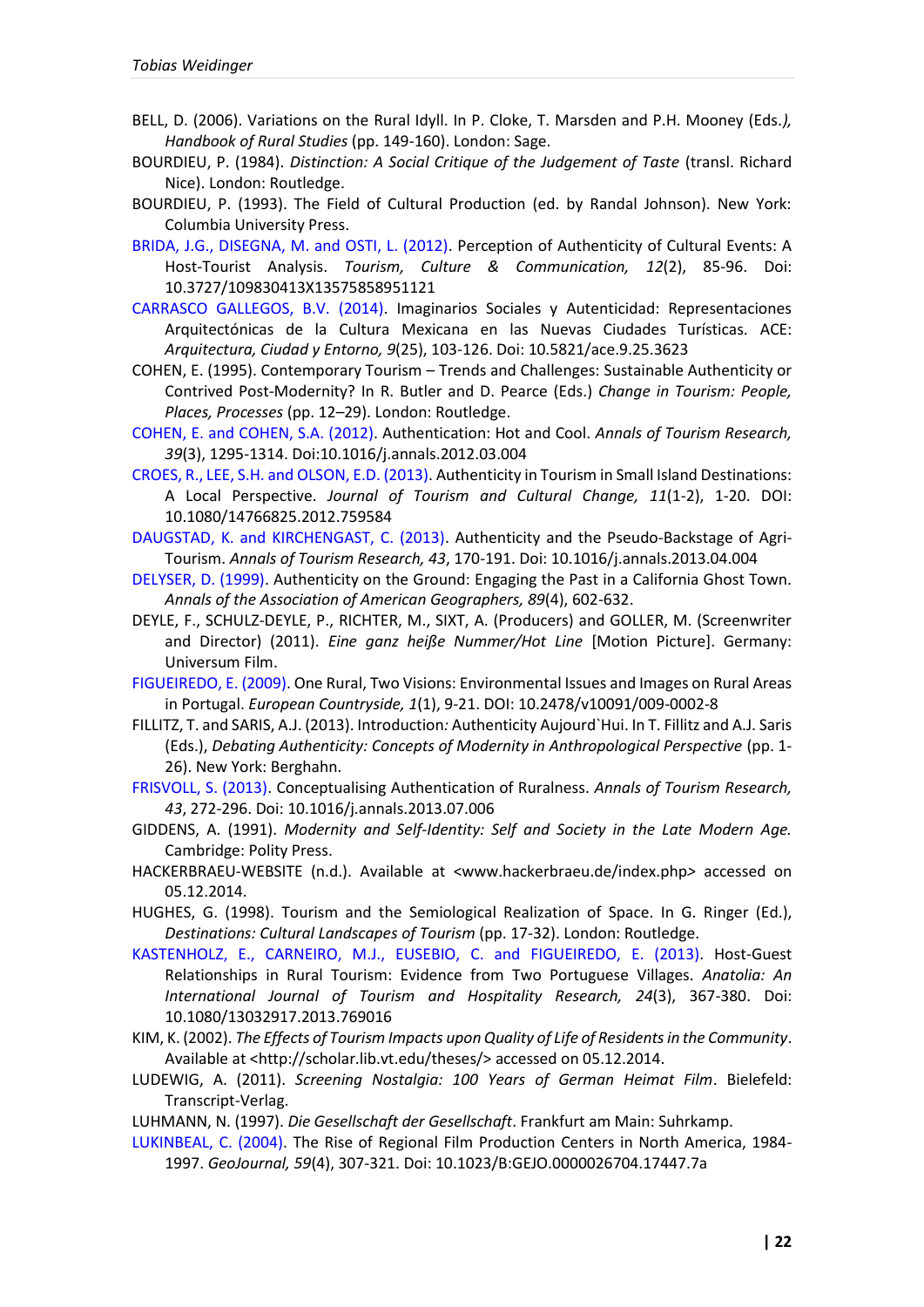- BELL, D. (2006). Variations on the Rural Idyll. In P. Cloke, T. Marsden and P.H. Mooney (Eds*.), Handbook of Rural Studies* (pp. 149-160). London: Sage.
- BOURDIEU, P. (1984). *Distinction: A Social Critique of the Judgement of Taste* (transl. Richard Nice). London: Routledge.
- BOURDIEU, P. (1993). The Field of Cultural Production (ed. by Randal Johnson). New York: Columbia University Press.
- BRIDA, [J.G., DISEGNA, M. and OSTI, L. \(2012\).](http://www.ingentaconnect.com/content/cog/tcc/2012/00000012/00000002/art00003) Perception of Authenticity of Cultural Events: A Host-Tourist Analysis. *Tourism, Culture & Communication, 12*(2), 85-96. Doi: 10.3727/109830413X13575858951121
- [CARRASCO GALLEGOS, B.V. \(2014\).](http://upcommons.upc.edu/revistes/handle/2099/14905) Imaginarios Sociales y Autenticidad: Representaciones Arquitectónicas de la Cultura Mexicana en las Nuevas Ciudades Turísticas. ACE: *Arquitectura, Ciudad y Entorno, 9*(25), 103-126. Doi: 10.5821/ace.9.25.3623
- COHEN, E. (1995). Contemporary Tourism Trends and Challenges: Sustainable Authenticity or Contrived Post-Modernity? In R. Butler and D. Pearce (Eds.) *Change in Tourism: People, Places, Processes* (pp. 12–29). London: Routledge.
- [COHEN, E. and COHEN, S.A. \(2012\).](http://www.sciencedirect.com/science/article/pii/S0160738312000333) Authentication: Hot and Cool. *Annals of Tourism Research, 39*(3), 1295-1314. Doi:10.1016/j.annals.2012.03.004
- [CROES, R., LEE, S.H. and OLSON, E.D. \(2013\).](http://www.tandfonline.com/doi/abs/10.1080/14766825.2012.759584#.VR7LnfxQMQc) Authenticity in Tourism in Small Island Destinations: A Local Perspective. *Journal of Tourism and Cultural Change, 11*(1-2), 1-20. DOI: 10.1080/14766825.2012.759584
- [DAUGSTAD, K. and KIRCHENGAST, C. \(2013\).](http://www.sciencedirect.com/science/article/pii/S0160738313000650) Authenticity and the Pseudo-Backstage of Agri-Tourism. *Annals of Tourism Research, 43*, 170-191. Doi: 10.1016/j.annals.2013.04.004
- [DELYSER, D. \(1999\).](http://www.jstor.org/discover/10.2307/2564461?sid=21105872593831&uid=3738880&uid=4&uid=2) Authenticity on the Ground: Engaging the Past in a California Ghost Town. *Annals of the Association of American Geographers, 89*(4), 602-632.
- DEYLE, F., SCHULZ-DEYLE, P., RICHTER, M., SIXT, A. (Producers) and GOLLER, M. (Screenwriter and Director) (2011). *Eine ganz heiße Nummer/Hot Line* [Motion Picture]. Germany: Universum Film.
- [FIGUEIREDO, E. \(2009\).](http://www.degruyter.com/view/j/euco.2009.1.issue-1/v10091-009-0002-8/v10091-009-0002-8.xml?format=INT) One Rural, Two Visions: Environmental Issues and Images on Rural Areas in Portugal. *European Countryside, 1*(1), 9-21. DOI: 10.2478/v10091/009-0002-8
- FILLITZ, T. and SARIS, A.J. (2013). Introduction*:* Authenticity Aujourd`Hui. In T. Fillitz and A.J. Saris (Eds.), *Debating Authenticity: Concepts of Modernity in Anthropological Perspective* (pp. 1- 26). New York: Berghahn.
- [FRISVOLL, S. \(2013\).](http://www.sciencedirect.com/science/article/pii/S0160738313001035) Conceptualising Authentication of Ruralness. *Annals of Tourism Research, 43*, 272-296. Doi: 10.1016/j.annals.2013.07.006
- GIDDENS, A. (1991). *Modernity and Self-Identity: Self and Society in the Late Modern Age.* Cambridge: Polity Press.
- HACKERBRAEU-WEBSITE (n.d.). Available at <www.hackerbraeu.de/index.php*>* accessed on 05.12.2014.
- HUGHES, G. (1998). Tourism and the Semiological Realization of Space. In G. Ringer (Ed.), *Destinations: Cultural Landscapes of Tourism* (pp. 17-32). London: Routledge.
- [KASTENHOLZ, E., CARNEIRO, M.J., EUSEBIO, C. and FIGUEIREDO, E. \(2013\).](http://www.tandfonline.com/doi/abs/10.1080/13032917.2013.769016#.VR7SX_xQMQc) Host-Guest Relationships in Rural Tourism: Evidence from Two Portuguese Villages. *Anatolia: An International Journal of Tourism and Hospitality Research, 24*(3), 367-380. Doi: 10.1080/13032917.2013.769016
- KIM, K. (2002). *The Effects of Tourism Impacts upon Quality of Life of Residents in the Community*. Available at <http://scholar.lib.vt.edu/theses/> accessed on 05.12.2014.
- LUDEWIG, A. (2011). *Screening Nostalgia: 100 Years of German Heimat Film*. Bielefeld: Transcript-Verlag.
- LUHMANN, N. (1997). *Die Gesellschaft der Gesellschaft*. Frankfurt am Main: Suhrkamp.
- [LUKINBEAL, C. \(2004\).](http://link.springer.com/article/10.1023/B%3AGEJO.0000026704.17447.7a) The Rise of Regional Film Production Centers in North America, 1984- 1997. *GeoJournal, 59*(4), 307-321. Doi: 10.1023/B:GEJO.0000026704.17447.7a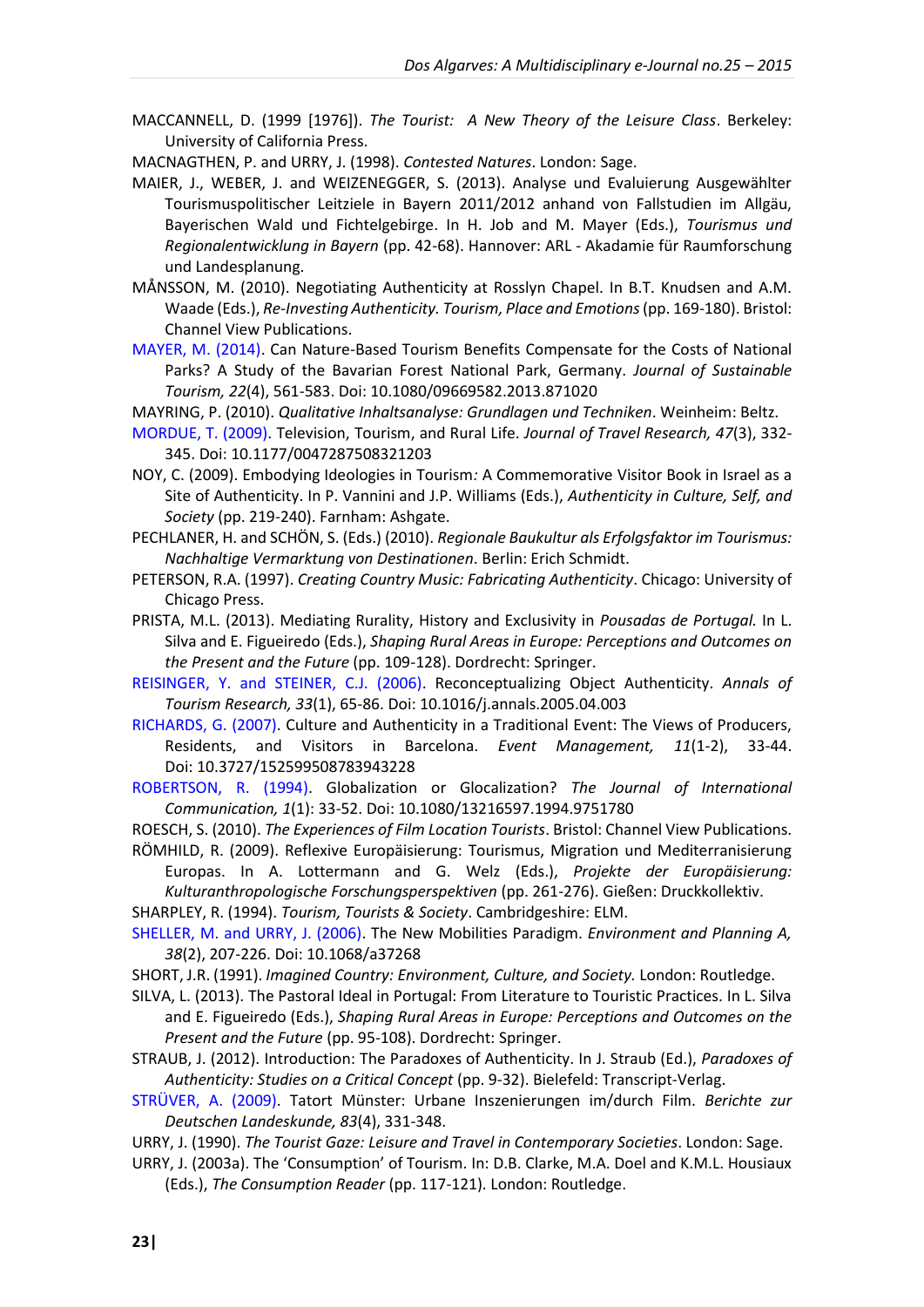MACCANNELL, D. (1999 [1976]). *The Tourist: A New Theory of the Leisure Class*. Berkeley: University of California Press.

MACNAGTHEN, P. and URRY, J. (1998). *Contested Natures*. London: Sage.

- MAIER, J., WEBER, J. and WEIZENEGGER, S. (2013). Analyse und Evaluierung Ausgewählter Tourismuspolitischer Leitziele in Bayern 2011/2012 anhand von Fallstudien im Allgäu, Bayerischen Wald und Fichtelgebirge. In H. Job and M. Mayer (Eds.), *Tourismus und Regionalentwicklung in Bayern* (pp. 42-68). Hannover: ARL - Akadamie für Raumforschung und Landesplanung.
- MÅNSSON, M. (2010). Negotiating Authenticity at Rosslyn Chapel. In B.T. Knudsen and A.M. Waade (Eds.), *Re-Investing Authenticity. Tourism, Place and Emotions* (pp. 169-180). Bristol: Channel View Publications.
- [MAYER, M. \(2014\).](http://www.tandfonline.com/doi/abs/10.1080/09669582.2013.871020?journalCode=rsus20#.VR7ULfxQMQc) Can Nature-Based Tourism Benefits Compensate for the Costs of National Parks? A Study of the Bavarian Forest National Park, Germany. *Journal of Sustainable Tourism, 22*(4), 561-583. Doi: 10.1080/09669582.2013.871020

MAYRING, P. (2010). *Qualitative Inhaltsanalyse: Grundlagen und Techniken*. Weinheim: Beltz.

- [MORDUE, T. \(2009\).](http://jtr.sagepub.com/content/47/3/332.short) Television, Tourism, and Rural Life. *Journal of Travel Research, 47*(3), 332- 345. Doi: 10.1177/0047287508321203
- NOY, C. (2009). Embodying Ideologies in Tourism*:* A Commemorative Visitor Book in Israel as a Site of Authenticity. In P. Vannini and J.P. Williams (Eds.), *Authenticity in Culture, Self, and Society* (pp. 219-240). Farnham: Ashgate.
- PECHLANER, H. and SCHÖN, S. (Eds.) (2010). *Regionale Baukultur als Erfolgsfaktor im Tourismus: Nachhaltige Vermarktung von Destinationen*. Berlin: Erich Schmidt.
- PETERSON, R.A. (1997). *Creating Country Music: Fabricating Authenticity*. Chicago: University of Chicago Press.
- PRISTA, M.L. (2013). Mediating Rurality, History and Exclusivity in *Pousadas de Portugal.* In L. Silva and E. Figueiredo (Eds.), *Shaping Rural Areas in Europe: Perceptions and Outcomes on the Present and the Future* (pp. 109-128). Dordrecht: Springer.
- [REISINGER, Y. and STEINER, C.J. \(2006\).](http://www.sciencedirect.com/science/article/pii/S0160738305000897) Reconceptualizing Object Authenticity. *Annals of Tourism Research, 33*(1), 65-86. Doi: 10.1016/j.annals.2005.04.003
- [RICHARDS, G. \(2007\).](http://www.ingentaconnect.com/content/cog/em/2007/00000011/F0020001/art00005) Culture and Authenticity in a Traditional Event: The Views of Producers, Residents, and Visitors in Barcelona. *Event Management, 11*(1-2), 33-44. Doi: 10.3727/152599508783943228
- [ROBERTSON, R. \(1994\).](http://www.tandfonline.com/doi/abs/10.1080/13216597.1994.9751780#.VR7Y4_xQMQc) Globalization or Glocalization? *The Journal of International Communication, 1*(1): 33-52. Doi: 10.1080/13216597.1994.9751780
- ROESCH, S. (2010). *The Experiences of Film Location Tourists*. Bristol: Channel View Publications.

RÖMHILD, R. (2009). Reflexive Europäisierung: Tourismus, Migration und Mediterranisierung Europas. In A. Lottermann and G. Welz (Eds.), *Projekte der Europäisierung: Kulturanthropologische Forschungsperspektiven* (pp. 261-276). Gießen: Druckkollektiv.

SHARPLEY, R. (1994). *Tourism, Tourists & Society*. Cambridgeshire: ELM.

[SHELLER, M. and URRY, J. \(2006\).](http://www.envplan.com/abstract.cgi?id=a37268) The New Mobilities Paradigm. *Environment and Planning A, 38*(2), 207-226. Doi: 10.1068/a37268

- SHORT, J.R. (1991). *Imagined Country: Environment, Culture, and Society.* London: Routledge.
- SILVA, L. (2013). The Pastoral Ideal in Portugal: From Literature to Touristic Practices. In L. Silva and E. Figueiredo (Eds.), *Shaping Rural Areas in Europe: Perceptions and Outcomes on the Present and the Future* (pp. 95-108). Dordrecht: Springer.
- STRAUB, J. (2012). Introduction: The Paradoxes of Authenticity. In J. Straub (Ed.), *Paradoxes of Authenticity: Studies on a Critical Concept* (pp. 9-32). Bielefeld: Transcript-Verlag.

[STRÜVER, A. \(2009\).](http://lobid.org/nwbib/HT016449707) Tatort Münster: Urbane Inszenierungen im/durch Film. *Berichte zur Deutschen Landeskunde, 83*(4), 331-348.

- URRY, J. (1990). *The Tourist Gaze: Leisure and Travel in Contemporary Societies*. London: Sage.
- URRY, J. (2003a). The 'Consumption' of Tourism. In: D.B. Clarke, M.A. Doel and K.M.L. Housiaux (Eds.), *The Consumption Reader* (pp. 117-121)*.* London: Routledge.